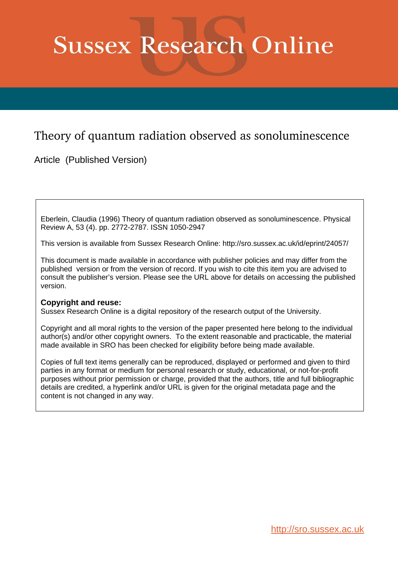# **Sussex Research Online**

## Theory of quantum radiation observed as sonoluminescence

Article (Published Version)

Eberlein, Claudia (1996) Theory of quantum radiation observed as sonoluminescence. Physical Review A, 53 (4). pp. 2772-2787. ISSN 1050-2947

This version is available from Sussex Research Online: http://sro.sussex.ac.uk/id/eprint/24057/

This document is made available in accordance with publisher policies and may differ from the published version or from the version of record. If you wish to cite this item you are advised to consult the publisher's version. Please see the URL above for details on accessing the published version.

### **Copyright and reuse:**

Sussex Research Online is a digital repository of the research output of the University.

Copyright and all moral rights to the version of the paper presented here belong to the individual author(s) and/or other copyright owners. To the extent reasonable and practicable, the material made available in SRO has been checked for eligibility before being made available.

Copies of full text items generally can be reproduced, displayed or performed and given to third parties in any format or medium for personal research or study, educational, or not-for-profit purposes without prior permission or charge, provided that the authors, title and full bibliographic details are credited, a hyperlink and/or URL is given for the original metadata page and the content is not changed in any way.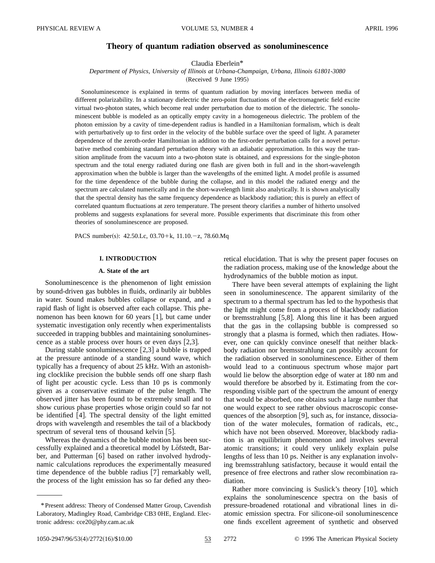#### **Theory of quantum radiation observed as sonoluminescence**

Claudia Eberlein\*

*Department of Physics, University of Illinois at Urbana-Champaign, Urbana, Illinois 61801-3080*

(Received 9 June 1995)

Sonoluminescence is explained in terms of quantum radiation by moving interfaces between media of different polarizability. In a stationary dielectric the zero-point fluctuations of the electromagnetic field excite virtual two-photon states, which become real under perturbation due to motion of the dielectric. The sonoluminescent bubble is modeled as an optically empty cavity in a homogeneous dielectric. The problem of the photon emission by a cavity of time-dependent radius is handled in a Hamiltonian formalism, which is dealt with perturbatively up to first order in the velocity of the bubble surface over the speed of light. A parameter dependence of the zeroth-order Hamiltonian in addition to the first-order perturbation calls for a novel perturbative method combining standard perturbation theory with an adiabatic approximation. In this way the transition amplitude from the vacuum into a two-photon state is obtained, and expressions for the single-photon spectrum and the total energy radiated during one flash are given both in full and in the short-wavelength approximation when the bubble is larger than the wavelengths of the emitted light. A model profile is assumed for the time dependence of the bubble during the collapse, and in this model the radiated energy and the spectrum are calculated numerically and in the short-wavelength limit also analytically. It is shown analytically that the spectral density has the same frequency dependence as blackbody radiation; this is purely an effect of correlated quantum fluctuations at zero temperature. The present theory clarifies a number of hitherto unsolved problems and suggests explanations for several more. Possible experiments that discriminate this from other theories of sonoluminescence are proposed.

PACS number(s):  $42.50$ .Lc,  $03.70+k$ ,  $11.10.-z$ , 78.60.Mq

#### **I. INTRODUCTION**

#### **A. State of the art**

Sonoluminescence is the phenomenon of light emission by sound-driven gas bubbles in fluids, ordinarily air bubbles in water. Sound makes bubbles collapse or expand, and a rapid flash of light is observed after each collapse. This phenomenon has been known for 60 years  $[1]$ , but came under systematic investigation only recently when experimentalists succeeded in trapping bubbles and maintaining sonoluminescence as a stable process over hours or even days  $[2,3]$ .

During stable sonoluminescence  $[2,3]$  a bubble is trapped at the pressure antinode of a standing sound wave, which typically has a frequency of about 25 kHz. With an astonishing clocklike precision the bubble sends off one sharp flash of light per acoustic cycle. Less than 10 ps is commonly given as a conservative estimate of the pulse length. The observed jitter has been found to be extremely small and to show curious phase properties whose origin could so far not be identified  $[4]$ . The spectral density of the light emitted drops with wavelength and resembles the tail of a blackbody spectrum of several tens of thousand kelvin  $[5]$ .

Whereas the dynamics of the bubble motion has been successfully explained and a theoretical model by Löfstedt, Barber, and Putterman  $[6]$  based on rather involved hydrodynamic calculations reproduces the experimentally measured time dependence of the bubble radius  $[7]$  remarkably well, the process of the light emission has so far defied any theoretical elucidation. That is why the present paper focuses on the radiation process, making use of the knowledge about the hydrodynamics of the bubble motion as input.

There have been several attempts of explaining the light seen in sonoluminescence. The apparent similarity of the spectrum to a thermal spectrum has led to the hypothesis that the light might come from a process of blackbody radiation or bremsstrahlung  $[5,8]$ . Along this line it has been argued that the gas in the collapsing bubble is compressed so strongly that a plasma is formed, which then radiates. However, one can quickly convince oneself that neither blackbody radiation nor bremsstrahlung can possibly account for the radiation observed in sonoluminescence. Either of them would lead to a continuous spectrum whose major part would lie below the absorption edge of water at 180 nm and would therefore be absorbed by it. Estimating from the corresponding visible part of the spectrum the amount of energy that would be absorbed, one obtains such a large number that one would expect to see rather obvious macroscopic consequences of the absorption  $[9]$ , such as, for instance, dissociation of the water molecules, formation of radicals, etc., which have not been observed. Moreover, blackbody radiation is an equilibrium phenomenon and involves several atomic transitions; it could very unlikely explain pulse lengths of less than 10 ps. Neither is any explanation involving bremsstrahlung satisfactory, because it would entail the presence of free electrons and rather slow recombination radiation.

Rather more convincing is Suslick's theory  $[10]$ , which explains the sonoluminescence spectra on the basis of pressure-broadened rotational and vibrational lines in diatomic emission spectra. For silicone-oil sonoluminescence one finds excellent agreement of synthetic and observed

1050-2947/96/53(4)/2772(16)/\$10.00 53 2772 © 1996 The American Physical Society

<sup>\*</sup>Present address: Theory of Condensed Matter Group, Cavendish Laboratory, Madingley Road, Cambridge CB3 0HE, England. Electronic address: cce20@phy.cam.ac.uk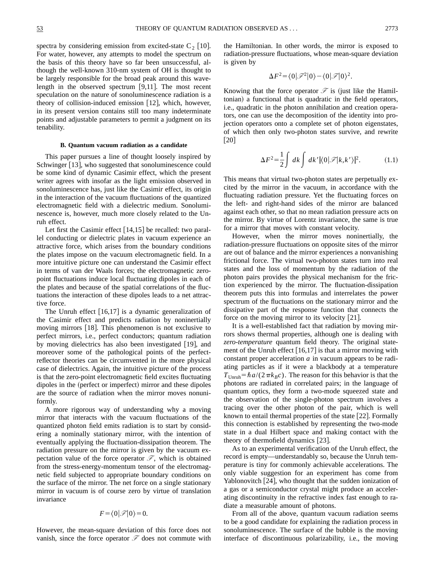spectra by considering emission from excited-state  $C_2$  [10]. For water, however, any attempts to model the spectrum on the basis of this theory have so far been unsuccessful, although the well-known 310-nm system of OH is thought to be largely responsible for the broad peak around this wavelength in the observed spectrum  $[9,11]$ . The most recent speculation on the nature of sonoluminescence radiation is a theory of collision-induced emission  $[12]$ , which, however, in its present version contains still too many indeterminate points and adjustable parameters to permit a judgment on its tenability.

#### **B. Quantum vacuum radiation as a candidate**

This paper pursues a line of thought loosely inspired by Schwinger  $[13]$ , who suggested that sonoluminescence could be some kind of dynamic Casimir effect, which the present writer agrees with insofar as the light emission observed in sonoluminescence has, just like the Casimir effect, its origin in the interaction of the vacuum fluctuations of the quantized electromagnetic field with a dielectric medium. Sonoluminescence is, however, much more closely related to the Unruh effect.

Let first the Casimir effect  $[14,15]$  be recalled: two parallel conducting or dielectric plates in vacuum experience an attractive force, which arises from the boundary conditions the plates impose on the vacuum electromagnetic field. In a more intuitive picture one can understand the Casimir effect in terms of van der Waals forces; the electromagnetic zeropoint fluctuations induce local fluctuating dipoles in each of the plates and because of the spatial correlations of the fluctuations the interaction of these dipoles leads to a net attractive force.

The Unruh effect  $[16,17]$  is a dynamic generalization of the Casimir effect and predicts radiation by noninertially moving mirrors  $[18]$ . This phenomenon is not exclusive to perfect mirrors, i.e., perfect conductors; quantum radiation by moving dielectrics has also been investigated [19], and moreover some of the pathological points of the perfectreflector theories can be circumvented in the more physical case of dielectrics. Again, the intuitive picture of the process is that the zero-point electromagnetic field excites fluctuating dipoles in the (perfect or imperfect) mirror and these dipoles are the source of radiation when the mirror moves nonuniformly.

A more rigorous way of understanding why a moving mirror that interacts with the vacuum fluctuations of the quantized photon field emits radiation is to start by considering a nominally stationary mirror, with the intention of eventually applying the fluctuation-dissipation theorem. The radiation pressure on the mirror is given by the vacuum expectation value of the force operator  $\mathscr{F}$ , which is obtained from the stress-energy-momentum tensor of the electromagnetic field subjected to appropriate boundary conditions on the surface of the mirror. The net force on a single stationary mirror in vacuum is of course zero by virtue of translation invariance

$$
F = \langle 0 | \mathcal{F} | 0 \rangle = 0.
$$

However, the mean-square deviation of this force does not vanish, since the force operator  $\mathscr F$  does not commute with the Hamiltonian. In other words, the mirror is exposed to radiation-pressure fluctuations, whose mean-square deviation is given by

$$
\Delta F^2 = \langle 0|\mathscr{F}^2|0\rangle - \langle 0|\mathscr{F}|0\rangle^2.
$$

Knowing that the force operator  $\mathcal F$  is (just like the Hamiltonian) a functional that is quadratic in the field operators, i.e., quadratic in the photon annihilation and creation operators, one can use the decomposition of the identity into projection operators onto a complete set of photon eigenstates, of which then only two-photon states survive, and rewrite  $\lceil 20 \rceil$ 

$$
\Delta F^2 = \frac{1}{2} \int dk \int dk' |\langle 0| \mathcal{F} |k, k'\rangle|^2.
$$
 (1.1)

This means that virtual two-photon states are perpetually excited by the mirror in the vacuum, in accordance with the fluctuating radiation pressure. Yet the fluctuating forces on the left- and right-hand sides of the mirror are balanced against each other, so that no mean radiation pressure acts on the mirror. By virtue of Lorentz invariance, the same is true for a mirror that moves with constant velocity.

However, when the mirror moves noninertially, the radiation-pressure fluctuations on opposite sites of the mirror are out of balance and the mirror experiences a nonvanishing frictional force. The virtual two-photon states turn into real states and the loss of momentum by the radiation of the photon pairs provides the physical mechanism for the friction experienced by the mirror. The fluctuation-dissipation theorem puts this into formulas and interrelates the power spectrum of the fluctuations on the stationary mirror and the dissipative part of the response function that connects the force on the moving mirror to its velocity  $[21]$ .

It is a well-established fact that radiation by moving mirrors shows thermal properties, although one is dealing with *zero-temperature* quantum field theory. The original statement of the Unruh effect  $[16,17]$  is that a mirror moving with constant proper acceleration *a* in vacuum appears to be radiating particles as if it were a blackbody at a temperature  $T_{\text{Unruh}} = \hbar a/(2\pi k_B c)$ . The reason for this behavior is that the photons are radiated in correlated pairs; in the language of quantum optics, they form a two-mode squeezed state and the observation of the single-photon spectrum involves a tracing over the other photon of the pair, which is well known to entail thermal properties of the state  $[22]$ . Formally this connection is established by representing the two-mode state in a dual Hilbert space and making contact with the theory of thermofield dynamics  $[23]$ .

As to an experimental verification of the Unruh effect, the record is empty—understandably so, because the Unruh temperature is tiny for commonly achievable accelerations. The only viable suggestion for an experiment has come from Yablonovitch  $[24]$ , who thought that the sudden ionization of a gas or a semiconductor crystal might produce an accelerating discontinuity in the refractive index fast enough to radiate a measurable amount of photons.

From all of the above, quantum vacuum radiation seems to be a good candidate for explaining the radiation process in sonoluminescence. The surface of the bubble is the moving interface of discontinuous polarizability, i.e., the moving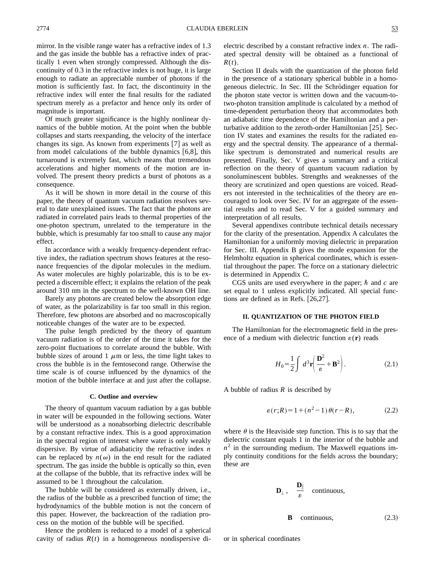mirror. In the visible range water has a refractive index of 1.3 and the gas inside the bubble has a refractive index of practically 1 even when strongly compressed. Although the discontinuity of 0.3 in the refractive index is not huge, it is large enough to radiate an appreciable number of photons if the motion is sufficiently fast. In fact, the discontinuity in the refractive index will enter the final results for the radiated spectrum merely as a prefactor and hence only its order of magnitude is important.

Of much greater significance is the highly nonlinear dynamics of the bubble motion. At the point when the bubble collapses and starts reexpanding, the velocity of the interface changes its sign. As known from experiments  $[7]$  as well as from model calculations of the bubble dynamics  $[6,8]$ , this turnaround is extremely fast, which means that tremendous accelerations and higher moments of the motion are involved. The present theory predicts a burst of photons as a consequence.

As it will be shown in more detail in the course of this paper, the theory of quantum vacuum radiation resolves several to date unexplained issues. The fact that the photons are radiated in correlated pairs leads to thermal properties of the one-photon spectrum, unrelated to the temperature in the bubble, which is presumably far too small to cause any major effect.

In accordance with a weakly frequency-dependent refractive index, the radiation spectrum shows features at the resonance frequencies of the dipolar molecules in the medium. As water molecules are highly polarizable, this is to be expected a discernible effect; it explains the relation of the peak around 310 nm in the spectrum to the well-known OH line.

Barely any photons are created below the absorption edge of water, as the polarizability is far too small in this region. Therefore, few photons are absorbed and no macroscopically noticeable changes of the water are to be expected.

The pulse length predicted by the theory of quantum vacuum radiation is of the order of the time it takes for the zero-point fluctuations to correlate around the bubble. With bubble sizes of around 1  $\mu$ m or less, the time light takes to cross the bubble is in the femtosecond range. Otherwise the time scale is of course influenced by the dynamics of the motion of the bubble interface at and just after the collapse.

#### **C. Outline and overview**

The theory of quantum vacuum radiation by a gas bubble in water will be expounded in the following sections. Water will be understood as a nonabsorbing dielectric describable by a constant refractive index. This is a good approximation in the spectral region of interest where water is only weakly dispersive. By virtue of adiabaticity the refractive index *n* can be replaced by  $n(\omega)$  in the end result for the radiated spectrum. The gas inside the bubble is optically so thin, even at the collapse of the bubble, that its refractive index will be assumed to be 1 throughout the calculation.

The bubble will be considered as externally driven, i.e., the radius of the bubble as a prescribed function of time; the hydrodynamics of the bubble motion is not the concern of this paper. However, the backreaction of the radiation process on the motion of the bubble will be specified.

Hence the problem is reduced to a model of a spherical cavity of radius  $R(t)$  in a homogeneous nondispersive dielectric described by a constant refractive index *n*. The radiated spectral density will be obtained as a functional of *R*(*t*).

Section II deals with the quantization of the photon field in the presence of a stationary spherical bubble in a homogeneous dielectric. In Sec. III the Schrödinger equation for the photon state vector is written down and the vacuum-totwo-photon transition amplitude is calculated by a method of time-dependent perturbation theory that accommodates both an adiabatic time dependence of the Hamiltonian and a perturbative addition to the zeroth-order Hamiltonian  $[25]$ . Section IV states and examines the results for the radiated energy and the spectral density. The appearance of a thermallike spectrum is demonstrated and numerical results are presented. Finally, Sec. V gives a summary and a critical reflection on the theory of quantum vacuum radiation by sonoluminescent bubbles. Strengths and weaknesses of the theory are scrutinized and open questions are voiced. Readers not interested in the technicalities of the theory are encouraged to look over Sec. IV for an aggregate of the essential results and to read Sec. V for a guided summary and interpretation of all results.

Several appendixes contribute technical details necessary for the clarity of the presentation. Appendix A calculates the Hamiltonian for a uniformly moving dielectric in preparation for Sec. III. Appendix B gives the mode expansion for the Helmholtz equation in spherical coordinates, which is essential throughout the paper. The force on a stationary dielectric is determined in Appendix C.

CGS units are used everywhere in the paper;  $\hbar$  and  $c$  are set equal to 1 unless explicitly indicated. All special functions are defined as in Refs.  $[26,27]$ .

#### **II. QUANTIZATION OF THE PHOTON FIELD**

The Hamiltonian for the electromagnetic field in the presence of a medium with dielectric function  $\varepsilon(\mathbf{r})$  reads

$$
H_0 = \frac{1}{2} \int d^3 \mathbf{r} \left( \frac{\mathbf{D}^2}{\varepsilon} + \mathbf{B}^2 \right). \tag{2.1}
$$

A bubble of radius *R* is described by

$$
\varepsilon(r;R) = 1 + (n^2 - 1)\,\theta(r - R),\tag{2.2}
$$

where  $\theta$  is the Heaviside step function. This is to say that the dielectric constant equals 1 in the interior of the bubble and  $n<sup>2</sup>$  in the surrounding medium. The Maxwell equations imply continuity conditions for the fields across the boundary; these are

$$
\mathbf{D}_{\perp}\,,\quad\frac{\mathbf{D}_{\parallel}}{\varepsilon}\quad\text{continuous},
$$

$$
\mathbf{B} \quad \text{continuous}, \tag{2.3}
$$

or in spherical coordinates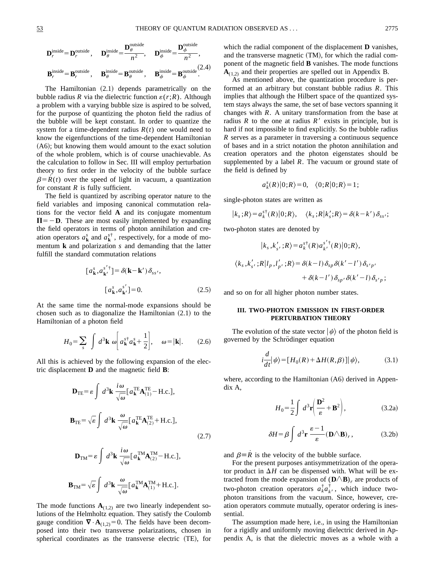$$
\mathbf{D}_{r}^{\text{inside}} = \mathbf{D}_{r}^{\text{outside}}, \quad \mathbf{D}_{\theta}^{\text{inside}} = \frac{\mathbf{D}_{\theta}^{\text{outside}}}{n^2}, \quad \mathbf{D}_{\phi}^{\text{inside}} = \frac{\mathbf{D}_{\phi}^{\text{outside}}}{n^2},
$$
\n
$$
\mathbf{B}_{r}^{\text{inside}} = \mathbf{B}_{r}^{\text{outside}}, \quad \mathbf{B}_{\theta}^{\text{inside}} = \mathbf{B}_{\theta}^{\text{outside}}, \quad \mathbf{B}_{\phi}^{\text{inside}} = \mathbf{B}_{\phi}^{\text{outside}}.
$$
\n(2.4)

The Hamiltonian  $(2.1)$  depends parametrically on the bubble radius *R* via the dielectric function  $\varepsilon(r;R)$ . Although a problem with a varying bubble size is aspired to be solved, for the purpose of quantizing the photon field the radius of the bubble will be kept constant. In order to quantize the system for a time-dependent radius  $R(t)$  one would need to know the eigenfunctions of the time-dependent Hamiltonian  $(A6)$ ; but knowing them would amount to the exact solution of the whole problem, which is of course unachievable. As the calculation to follow in Sec. III will employ perturbation theory to first order in the velocity of the bubble surface  $\beta = R(t)$  over the speed of light in vacuum, a quantization for constant  $R$  is fully sufficient.

The field is quantized by ascribing operator nature to the field variables and imposing canonical commutation relations for the vector field **A** and its conjugate momentum  $\Pi$ =  $-\mathbf{D}$ . These are most easily implemented by expanding the field operators in terms of photon annihilation and creation operators  $a_k^s$  and  $a_k^{s\dagger}$ , respectively, for a mode of momentum **k** and polarization *s* and demanding that the latter fulfill the standard commutation relations

$$
[a_{\mathbf{k}}^{s}, a_{\mathbf{k}'}^{s'}] = \delta(\mathbf{k} - \mathbf{k}') \delta_{ss'},
$$

$$
[a_{\mathbf{k}}^{s}, a_{\mathbf{k}'}^{s'}] = 0.
$$
 (2.5)

At the same time the normal-mode expansions should be chosen such as to diagonalize the Hamiltonian  $(2.1)$  to the Hamiltonian of a photon field

$$
H_0 = \sum_s \int d^3 \mathbf{k} \, \omega \bigg[ a_{\mathbf{k}}^{s^+} a_{\mathbf{k}}^s + \frac{1}{2} \bigg], \quad \omega = |\mathbf{k}|. \tag{2.6}
$$

All this is achieved by the following expansion of the electric displacement **D** and the magnetic field **B**:

$$
\mathbf{D}_{\text{TE}} = \varepsilon \int d^3 \mathbf{k} \, \frac{i\omega}{\sqrt{\omega}} \left[ a_{\mathbf{k}}^{\text{TE}} \mathbf{A}_{(1)}^{\text{TE}} - \text{H.c.} \right],
$$
\n
$$
\mathbf{B}_{\text{TE}} = \sqrt{\varepsilon} \int d^3 \mathbf{k} \, \frac{\omega}{\sqrt{\omega}} \left[ a_{\mathbf{k}}^{\text{TE}} \mathbf{A}_{(2)}^{\text{TE}} + \text{H.c.} \right],
$$
\n(2.7)

$$
\mathbf{D}_{\rm TM} = \varepsilon \int d^3 \mathbf{k} \, \frac{i \omega}{\sqrt{\omega}} \left[ a_{\mathbf{k}}^{\rm TM} \mathbf{A}_{(2)}^{\rm TM} - \text{H.c.} \right],
$$
  

$$
\mathbf{B}_{\rm TM} = \sqrt{\varepsilon} \int d^3 \mathbf{k} \, \frac{\omega}{\sqrt{\omega}} \left[ a_{\mathbf{k}}^{\rm TM} \mathbf{A}_{(1)}^{\rm TM} + \text{H.c.} \right].
$$

The mode functions  $A_{(1,2)}$  are two linearly independent solutions of the Helmholtz equation. They satisfy the Coulomb gauge condition  $\nabla \cdot \mathbf{A}_{(1,2)}=0$ . The fields have been decomposed into their two transverse polarizations, chosen in spherical coordinates as the transverse electric (TE), for which the radial component of the displacement **D** vanishes, and the transverse magnetic  $(TM)$ , for which the radial component of the magnetic field **B** vanishes. The mode functions  $A_{(1,2)}$  and their properties are spelled out in Appendix B.

As mentioned above, the quantization procedure is performed at an arbitrary but constant bubble radius *R*. This implies that although the Hilbert space of the quantized system stays always the same, the set of base vectors spanning it changes with *R*. A unitary transformation from the base at radius  $R$  to the one at radius  $R'$  exists in principle, but is hard if not impossible to find explicitly. So the bubble radius *R* serves as a parameter in traversing a continuous sequence of bases and in a strict notation the photon annihilation and creation operators and the photon eigenstates should be supplemented by a label *R*. The vacuum or ground state of the field is defined by

$$
a_k^s(R)|0;R\rangle=0, \quad \langle 0;R|0;R\rangle=1;
$$

single-photon states are written as

$$
|k_s;R\rangle = a_k^{s\dagger}(R)|0;R\rangle, \quad \langle k_s;R|k'_s;R\rangle = \delta(k-k')\delta_{ss'};
$$

two-photon states are denoted by

$$
|k_s, k'_{s'}; R\rangle = a_k^{s^{\dagger}}(R) a_{k'}^{s^{\dagger}}(R) |0; R\rangle,
$$
  

$$
\langle k_s, k'_{s'}; R |l_p, l'_{p'}; R\rangle = \delta(k-l) \delta_{sp} \delta(k'-l') \delta_{s'p'}
$$
  

$$
+ \delta(k-l') \delta_{sp'} \delta(k'-l) \delta_{s'p};
$$

and so on for all higher photon number states.

#### **III. TWO-PHOTON EMISSION IN FIRST-ORDER PERTURBATION THEORY**

The evolution of the state vector  $|\psi\rangle$  of the photon field is governed by the Schrödinger equation

$$
i\frac{d}{dt}|\psi\rangle = [H_0(R) + \Delta H(R,\beta)]|\psi\rangle, \tag{3.1}
$$

where, according to the Hamiltonian  $(A6)$  derived in Appendix A,

$$
H_0 = \frac{1}{2} \int d^3 \mathbf{r} \left( \frac{\mathbf{D}^2}{\varepsilon} + \mathbf{B}^2 \right), \tag{3.2a}
$$

$$
\delta H = \beta \int d^3 \mathbf{r} \, \frac{\varepsilon - 1}{\varepsilon} (\mathbf{D} \triangle \mathbf{B})_r, \tag{3.2b}
$$

and  $\beta \equiv \overline{R}$  is the velocity of the bubble surface.

For the present purposes antisymmetrization of the operator product in  $\Delta H$  can be dispensed with. What will be extracted from the mode expansion of  $(D \wedge B)_r$  are products of two-photon creation operators  $a_k^{\dagger} a_k^{\dagger}$ , which induce twophoton transitions from the vacuum. Since, however, creation operators commute mutually, operator ordering is inessential.

The assumption made here, i.e., in using the Hamiltonian for a rigidly and uniformly moving dielectric derived in Appendix A, is that the dielectric moves as a whole with a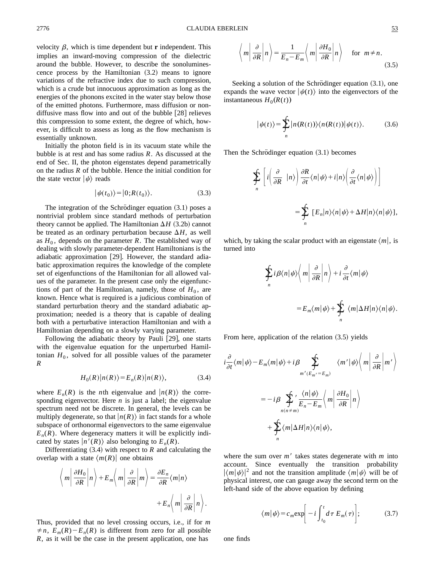velocity  $\beta$ , which is time dependent but **r** independent. This implies an inward-moving compression of the dielectric around the bubble. However, to describe the sonoluminescence process by the Hamiltonian  $(3.2)$  means to ignore variations of the refractive index due to such compression, which is a crude but innocuous approximation as long as the energies of the phonons excited in the water stay below those of the emitted photons. Furthermore, mass diffusion or nondiffusive mass flow into and out of the bubble  $[28]$  relieves this compression to some extent, the degree of which, however, is difficult to assess as long as the flow mechanism is essentially unknown.

Initially the photon field is in its vacuum state while the bubble is at rest and has some radius *R*. As discussed at the end of Sec. II, the photon eigenstates depend parametrically on the radius *R* of the bubble. Hence the initial condition for the state vector  $|\psi\rangle$  reads

$$
|\psi(t_0)\rangle = |0;R(t_0)\rangle. \tag{3.3}
$$

The integration of the Schrödinger equation  $(3.1)$  poses a nontrivial problem since standard methods of perturbation theory cannot be applied. The Hamiltonian  $\Delta H$  (3.2b) cannot be treated as an ordinary perturbation because  $\Delta H$ , as well as  $H_0$ , depends on the parameter *R*. The established way of dealing with slowly parameter-dependent Hamiltonians is the adiabatic approximation [29]. However, the standard adiabatic approximation requires the knowledge of the complete set of eigenfunctions of the Hamiltonian for all allowed values of the parameter. In the present case only the eigenfunctions of part of the Hamiltonian, namely, those of  $H_0$ , are known. Hence what is required is a judicious combination of standard perturbation theory and the standard adiabatic approximation; needed is a theory that is capable of dealing both with a perturbative interaction Hamiltonian and with a Hamiltonian depending on a slowly varying parameter.

Following the adiabatic theory by Pauli  $[29]$ , one starts with the eigenvalue equation for the unperturbed Hamiltonian  $H_0$ , solved for all possible values of the parameter *R*

$$
H_0(R)|n(R)\rangle = E_n(R)|n(R)\rangle, \tag{3.4}
$$

where  $E_n(R)$  is the *n*th eigenvalue and  $|n(R)\rangle$  the corresponding eigenvector. Here *n* is just a label; the eigenvalue spectrum need not be discrete. In general, the levels can be multiply degenerate, so that  $|n(R)\rangle$  in fact stands for a whole subspace of orthonormal eigenvectors to the same eigenvalue  $E_n(R)$ . Where degeneracy matters it will be explicitly indicated by states  $|n'(R)\rangle$  also belonging to  $E_n(R)$ .

Differentiating  $(3.4)$  with respect to *R* and calculating the overlap with a state  $\langle m(R) \rangle$  one obtains

$$
\left\langle m \left| \frac{\partial H_0}{\partial R} \right| n \right\rangle + E_m \left\langle m \left| \frac{\partial}{\partial R} \right| m \right\rangle = \frac{\partial E_n}{\partial R} \langle m | n \rangle + E_n \left\langle m \left| \frac{\partial}{\partial R} \right| n \right\rangle.
$$

Thus, provided that no level crossing occurs, i.e., if for *m*  $\neq n$ ,  $E_m(R) - E_n(R)$  is different from zero for all possible *R*, as it will be the case in the present application, one has

$$
\left\langle m \left| \frac{\partial}{\partial R} \right| n \right\rangle = \frac{1}{E_n - E_m} \left\langle m \left| \frac{\partial H_0}{\partial R} \right| n \right\rangle \quad \text{for } m \neq n. \tag{3.5}
$$

Seeking a solution of the Schrödinger equation  $(3.1)$ , one expands the wave vector  $|\psi(t)\rangle$  into the eigenvectors of the instantaneous  $H_0(R(t))$ 

$$
|\psi(t)\rangle = \sum_{n} |n(R(t))\rangle\langle n(R(t))|\psi(t)\rangle.
$$
 (3.6)

Then the Schrödinger equation  $(3.1)$  becomes

$$
\sum_{n} \left[ i \left( \frac{\partial}{\partial R} \mid n \rangle \right) \frac{\partial R}{\partial t} \langle n | \psi \rangle + i | n \rangle \left( \frac{\partial}{\partial t} \langle n | \psi \rangle \right) \right]
$$
\n
$$
= \sum_{n} \left[ E_{n} | n \rangle \langle n | \psi \rangle + \Delta H | n \rangle \langle n | \psi \rangle \right],
$$

which, by taking the scalar product with an eigenstate  $\langle m|$ , is turned into

$$
\oint_{n} i \beta \langle n | \psi \rangle \langle m | \frac{\partial}{\partial R} | n \rangle + i \frac{\partial}{\partial t} \langle m | \psi \rangle
$$
  
=  $E_{m} \langle m | \psi \rangle + \oint_{n} \langle m | \Delta H | n \rangle \langle n | \psi \rangle.$ 

From here, application of the relation  $(3.5)$  yields

$$
i\frac{\partial}{\partial t}\langle m|\psi\rangle - E_m\langle m|\psi\rangle + i\beta \sum_{m'(E_{m'}-E_m)} \langle m'|\psi\rangle \langle m|\frac{\partial}{\partial R}|m'\rangle
$$
  

$$
= -i\beta \sum_{n(n \neq m)} \langle \frac{\langle n|\psi\rangle}{E_n - E_m} \langle m|\frac{\partial H_0}{\partial R}|n\rangle
$$
  

$$
+ \sum_{n} \langle m|\Delta H|n\rangle \langle n|\psi\rangle,
$$

where the sum over  $m'$  takes states degenerate with  $m$  into account. Since eventually the transition probability  $|\langle m|\psi\rangle|^2$  and not the transition amplitude  $\langle m|\psi\rangle$  will be of physical interest, one can gauge away the second term on the left-hand side of the above equation by defining

$$
\langle m|\psi\rangle = c_m \exp\bigg[-i\int_{t_0}^t d\tau \ E_m(\tau)\bigg];\tag{3.7}
$$

one finds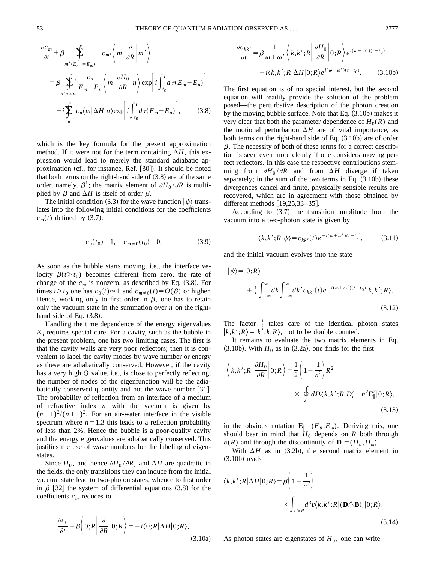$$
\frac{\partial c_m}{\partial t} + \beta \sum_{m'(E_m - E_m)} c_{m'} \left\langle m \left| \frac{\partial}{\partial R} \right| m' \right\rangle
$$
  
\n
$$
= \beta \sum_{n(n \neq m)}' \frac{c_n}{E_m - E_n} \left\langle m \left| \frac{\partial H_0}{\partial R} \right| n \right\rangle \exp \left[ i \int_{t_0}^t d\tau (E_m - E_n) \right]
$$
  
\n
$$
- i \sum_{n} c_n \langle m | \Delta H | n \rangle \exp \left[ i \int_{t_0}^t d\tau (E_m - E_n) \right], \qquad (3.8)
$$

which is the key formula for the present approximation method. If it were not for the term containing  $\Delta H$ , this expression would lead to merely the standard adiabatic approximation (cf., for instance, Ref.  $[30]$ ). It should be noted that both terms on the right-hand side of  $(3.8)$  are of the same order, namely,  $\beta^1$ ; the matrix element of  $\partial H_0 / \partial R$  is multiplied by  $\beta$  and  $\Delta H$  is itself of order  $\beta$ .

The initial condition (3.3) for the wave function  $|\psi\rangle$  translates into the following initial conditions for the coefficients  $c_m(t)$  defined by (3.7):

$$
c_0(t_0) = 1, \quad c_{m \neq 0}(t_0) = 0. \tag{3.9}
$$

As soon as the bubble starts moving, i.e., the interface velocity  $\beta(t > t_0)$  becomes different from zero, the rate of change of the  $c_m$  is nonzero, as described by Eq.  $(3.8)$ . For times  $t > t_0$  one has  $c_0(t) \approx 1$  and  $c_{m\neq0}(t) = O(\beta)$  or higher. Hence, working only to first order in  $\beta$ , one has to retain only the vacuum state in the summation over *n* on the righthand side of Eq.  $(3.8)$ .

Handling the time dependence of the energy eigenvalues  $E_n$  requires special care. For a cavity, such as the bubble in the present problem, one has two limiting cases. The first is that the cavity walls are very poor reflectors; then it is convenient to label the cavity modes by wave number or energy as these are adiabatically conserved. However, if the cavity has a very high *Q* value, i.e., is close to perfectly reflecting, the number of nodes of the eigenfunction will be the adiabatically conserved quantity and not the wave number [31]. The probability of reflection from an interface of a medium of refractive index *n* with the vacuum is given by  $(n-1)^2/(n+1)^2$ . For an air-water interface in the visible spectrum where  $n=1.3$  this leads to a reflection probability of less than 2%. Hence the bubble is a poor-quality cavity and the energy eigenvalues are adiabatically conserved. This justifies the use of wave numbers for the labeling of eigenstates.

Since  $H_0$ , and hence  $\partial H_0 / \partial R$ , and  $\Delta H$  are quadratic in the fields, the only transitions they can induce from the initial vacuum state lead to two-photon states, whence to first order in  $\beta$  [32] the system of differential equations (3.8) for the coefficients  $c_m$  reduces to

$$
\frac{\partial c_0}{\partial t} + \beta \left( 0; R \left| \frac{\partial}{\partial R} \right| 0; R \right) = -i \langle 0; R | \Delta H | 0; R \rangle, \tag{3.10a}
$$

$$
\frac{\partial c_{kk'}}{\partial t} = \beta \frac{1}{\omega + \omega'} \left\langle k, k'; R \right| \frac{\partial H_0}{\partial R} \Big| 0; R \right\rangle e^{i(\omega + \omega')(t - t_0)} \n- i \langle k, k'; R | \Delta H | 0; R \rangle e^{i(\omega + \omega')(t - t_0)}.
$$
\n(3.10b)

The first equation is of no special interest, but the second equation will readily provide the solution of the problem posed—the perturbative description of the photon creation by the moving bubble surface. Note that Eq.  $(3.10b)$  makes it very clear that both the parameter dependence of  $H_0(R)$  and the motional perturbation  $\Delta H$  are of vital importance, as both terms on the right-hand side of Eq.  $(3.10b)$  are of order  $\beta$ . The necessity of both of these terms for a correct description is seen even more clearly if one considers moving perfect reflectors. In this case the respective contributions stemming from  $\partial H_0 / \partial R$  and from  $\Delta H$  diverge if taken separately; in the sum of the two terms in Eq.  $(3.10b)$  these divergences cancel and finite, physically sensible results are recovered, which are in agreement with those obtained by different methods  $[19,25,33-35]$ .

According to  $(3.7)$  the transition amplitude from the vacuum into a two-photon state is given by

$$
\langle k, k'; R | \psi \rangle = c_{kk'}(t) e^{-i(\omega + \omega')(t - t_0)}, \tag{3.11}
$$

and the initial vacuum evolves into the state

$$
|\psi\rangle = |0;R\rangle
$$
  
+  $\frac{1}{2} \int_{-\infty}^{\infty} dk \int_{-\infty}^{\infty} dk' c_{kk'}(t) e^{-i(\omega + \omega')(t - t_0)} |k, k';R\rangle.$   
(3.12)

The factor  $\frac{1}{2}$  takes care of the identical photon states  $|k, k'; R\rangle = |k', k; R\rangle$ , not to be double counted.

It remains to evaluate the two matrix elements in Eq.  $(3.10b)$ . With  $H_0$  as in  $(3.2a)$ , one finds for the first

$$
\left\langle k, k'; R \middle| \frac{\partial H_0}{\partial R} \middle| 0; R \right\rangle = \frac{1}{2} \left( 1 - \frac{1}{n^2} \right) R^2
$$
  
 
$$
\times \oint d\Omega \langle k, k'; R | D_r^2 + n^2 \mathbf{E}_{\parallel}^2 | 0; R \rangle,
$$
(3.13)

in the obvious notation  $\mathbf{E}_{\parallel} = (E_{\theta}, E_{\phi})$ . Deriving this, one should bear in mind that  $H_0$  depends on *R* both through  $\varepsilon(R)$  and through the discontinuity of  $\mathbf{D}_{\parallel} = (D_{\theta}, D_{\phi}).$ 

With  $\Delta H$  as in (3.2b), the second matrix element in  $(3.10b)$  reads

$$
\langle k, k'; R | \Delta H | 0; R \rangle = \beta \left( 1 - \frac{1}{n^2} \right)
$$
  
 
$$
\times \int_{r \ge R} d^3 \mathbf{r} \langle k, k'; R | (\mathbf{D} \triangle \mathbf{B})_r | 0; R \rangle.
$$
 (3.14)

As photon states are eigenstates of  $H_0$ , one can write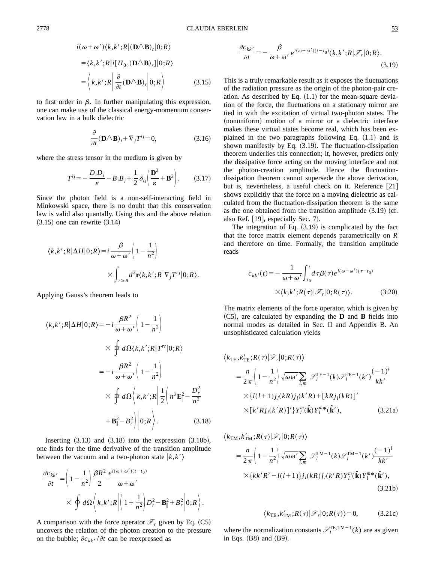$$
i(\omega + \omega') \langle k, k'; R | (\mathbf{D} \wedge \mathbf{B})_r | 0; R \rangle
$$
  
=  $\langle k, k'; R | i [H_0, (\mathbf{D} \wedge \mathbf{B})_r] | 0; R \rangle$   
=  $\langle k, k'; R | \frac{\partial}{\partial t} (\mathbf{D} \wedge \mathbf{B})_r | 0; R \rangle$  (3.15)

to first order in  $\beta$ . In further manipulating this expression, one can make use of the classical energy-momentum conservation law in a bulk dielectric

$$
\frac{\partial}{\partial t} (\mathbf{D} \wedge \mathbf{B})_i + \nabla_j T^{ij} = 0,
$$
\n(3.16)

where the stress tensor in the medium is given by

$$
T^{ij} = -\frac{D_i D_j}{\varepsilon} - B_i B_j + \frac{1}{2} \delta_{ij} \left( \frac{\mathbf{D}^2}{\varepsilon} + \mathbf{B}^2 \right). \tag{3.17}
$$

Since the photon field is a non-self-interacting field in Minkowski space, there is no doubt that this conservation law is valid also quantally. Using this and the above relation  $(3.15)$  one can rewrite  $(3.14)$ 

$$
\langle k, k'; R | \Delta H | 0; R \rangle = i \frac{\beta}{\omega + \omega'} \left( 1 - \frac{1}{n^2} \right)
$$

$$
\times \int_{r \ge R} d^3 \mathbf{r} \langle k, k'; R | \nabla_j T'^j | 0; R \rangle.
$$

Applying Gauss's theorem leads to

$$
\langle k, k'; R | \Delta H | 0; R \rangle = -i \frac{\beta R^2}{\omega + \omega'} \left( 1 - \frac{1}{n^2} \right)
$$
  

$$
\times \oint d\Omega \langle k, k'; R | T^{rr} | 0; R \rangle
$$
  

$$
= -i \frac{\beta R^2}{\omega + \omega'} \left( 1 - \frac{1}{n^2} \right)
$$
  

$$
\times \oint d\Omega \left\langle k, k'; R \right| \frac{1}{2} \left( n^2 \mathbf{E}_{\parallel}^2 - \frac{D_r^2}{n^2} + \mathbf{B}_{\parallel}^2 - B_r^2 \right) | 0; R \rangle.
$$
 (3.18)

Inserting  $(3.13)$  and  $(3.18)$  into the expression  $(3.10b)$ , one finds for the time derivative of the transition amplitude between the vacuum and a two-photon state  $|k, k'\rangle$ 

$$
\frac{\partial c_{kk'}}{\partial t} = \left(1 - \frac{1}{n^2}\right) \frac{\beta R^2}{2} \frac{e^{i(\omega + \omega')(t - t_0)}}{\omega + \omega'}
$$

$$
\times \oint d\Omega \left\langle k, k'; R \middle| \left(1 + \frac{1}{n^2}\right) D_r^2 - \mathbf{B}_{\parallel}^2 + B_r^2 \middle| 0; R \right\rangle.
$$

A comparison with the force operator  $\mathcal{F}_r$  given by Eq. (C5) uncovers the relation of the photon creation to the pressure on the bubble;  $\partial c_{kk'} / \partial t$  can be reexpressed as

$$
\frac{\partial c_{kk'}}{\partial t} = -\frac{\beta}{\omega + \omega'} e^{i(\omega + \omega')(t - t_0)} \langle k, k'; R | \mathcal{F}_r | 0; R \rangle.
$$
\n(3.19)

This is a truly remarkable result as it exposes the fluctuations of the radiation pressure as the origin of the photon-pair creation. As described by Eq.  $(1.1)$  for the mean-square deviation of the force, the fluctuations on a stationary mirror are tied in with the excitation of virtual two-photon states. The (nonuniform) motion of a mirror or a dielectric interface makes these virtual states become real, which has been explained in the two paragraphs following Eq.  $(1.1)$  and is shown manifestly by Eq.  $(3.19)$ . The fluctuation-dissipation theorem underlies this connection; it, however, predicts only the dissipative force acting on the moving interface and not the photon-creation amplitude. Hence the fluctuationdissipation theorem cannot supersede the above derivation, but is, nevertheless, a useful check on it. Reference [21] shows explicitly that the force on a moving dielectric as calculated from the fluctuation-dissipation theorem is the same as the one obtained from the transition amplitude  $(3.19)$  (cf. also Ref.  $[19]$ , especially Sec. 7).

The integration of Eq.  $(3.19)$  is complicated by the fact that the force matrix element depends parametrically on *R* and therefore on time. Formally, the transition amplitude reads

$$
c_{kk'}(t) = -\frac{1}{\omega + \omega'} \int_{t_0}^t d\tau \beta(\tau) e^{i(\omega + \omega')(\tau - t_0)}
$$

$$
\times \langle k, k'; R(\tau) | \mathcal{F}_r | 0; R(\tau) \rangle. \tag{3.20}
$$

The matrix elements of the force operator, which is given by ~C5!, are calculated by expanding the **D** and **B** fields into normal modes as detailed in Sec. II and Appendix B. An unsophisticated calculation yields

$$
\langle k_{\text{TE}}, k'_{\text{TE}}; R(\tau) | \mathcal{F}_r | 0; R(\tau) \rangle
$$
  
\n
$$
= \frac{n}{2\pi} \left( 1 - \frac{1}{n^2} \right) \sqrt{\omega \omega'} \sum_{l,m} \mathcal{S}_l^{\text{TE}-1}(k) \mathcal{S}_l^{\text{TE}-1}(k') \frac{(-1)^l}{kk'}
$$
  
\n
$$
\times \{ l(l+1) j_l(kR) j_l(k'R) + [kR j_l(kR)]' \times [k' R j_l(k'R)]' \} Y_l^m(\hat{\mathbf{k}}) Y_l^{m*}(\hat{\mathbf{k}}'), \qquad (3.21a)
$$

$$
\langle k_{\text{TM}}, k'_{\text{TM}}; R(\tau) | \mathcal{F}_r | 0; R(\tau) \rangle
$$
  
=  $\frac{n}{2\pi} \left( 1 - \frac{1}{n^2} \right) \sqrt{\omega \omega'} \sum_{l,m} \mathcal{F}_l^{\text{TM}-1}(k) \mathcal{F}_l^{\text{TM}-1}(k') \frac{(-1)^l}{kk'}$   
 $\times \{kk'R^2 - l(l+1)\} j_l(kR) j_l(k'R) Y_l^m(\hat{\mathbf{k}}) Y_l^m * (\hat{\mathbf{k}}'),$   
(3.21b)

$$
\langle k_{\text{TE}}, k'_{\text{TM}}; R(\tau) | \mathcal{F}_r | 0; R(\tau) \rangle = 0, \tag{3.21c}
$$

where the normalization constants  $\mathcal{S}_l^{\text{TE, TM-1}}(k)$  are as given in Eqs.  $(B8)$  and  $(B9)$ .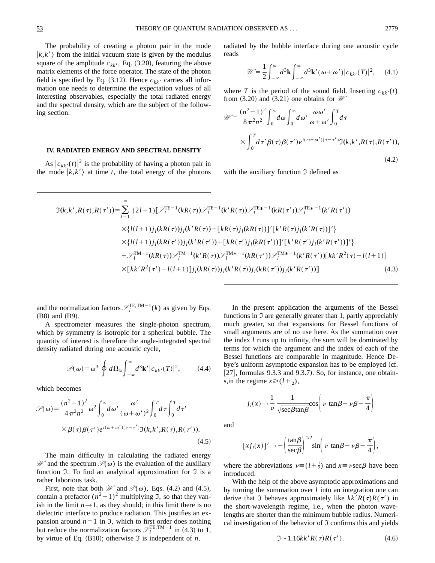The probability of creating a photon pair in the mode  $|k, k'\rangle$  from the initial vacuum state is given by the modulus square of the amplitude  $c_{kk'}$ , Eq. (3.20), featuring the above matrix elements of the force operator. The state of the photon field is specified by Eq.  $(3.12)$ . Hence  $c_{kk}$  carries all information one needs to determine the expectation values of all interesting observables, especially the total radiated energy and the spectral density, which are the subject of the following section.

#### **IV. RADIATED ENERGY AND SPECTRAL DENSITY**

As  $|c_{kk'}(t)|^2$  is the probability of having a photon pair in the mode  $|k, k'\rangle$  at time *t*, the total energy of the photons radiated by the bubble interface during one acoustic cycle reads

$$
\mathscr{W} = \frac{1}{2} \int_{-\infty}^{\infty} d^3 \mathbf{k} \int_{-\infty}^{\infty} d^3 \mathbf{k}' (\omega + \omega') |c_{kk'}(T)|^2, \quad (4.1)
$$

where *T* is the period of the sound field. Inserting  $c_{kk'}(t)$ from  $(3.20)$  and  $(3.21)$  one obtains for  $\mathcal W$ 

$$
\mathcal{W} = \frac{(n^2 - 1)^2}{8\pi^2 n^2} \int_0^\infty d\omega \int_0^\infty d\omega' \frac{\omega \omega'}{\omega + \omega'} \int_0^T d\tau
$$
  
 
$$
\times \int_0^T d\tau' \beta(\tau) \beta(\tau') e^{i(\omega + \omega')(\tau - \tau')} \mathfrak{I}(k, k', R(\tau), R(\tau')), \tag{4.2}
$$

with the auxiliary function  $\Im$  defined as

$$
\mathfrak{I}(k,k',R(\tau),R(\tau')) = \sum_{l=1}^{\infty} (2l+1) [\mathcal{I}_l^{TE-1}(kR(\tau))\mathcal{I}_l^{TE-1}(k'R(\tau))\mathcal{I}_l^{TE*-1}(kR(\tau'))\mathcal{I}_l^{TE*-1}(k'R(\tau'))
$$
  
\n
$$
\times \{l(l+1)j_l(kR(\tau))j_l(k'R(\tau)) + [kR(\tau)j_l(kR(\tau))]'[k'R(\tau)j_l(k'R(\tau))]'\}
$$
  
\n
$$
\times \{l(l+1)j_l(kR(\tau'))j_l(k'R(\tau')) + [kR(\tau')j_l(kR(\tau'))]'[k'R(\tau')j_l(k'R(\tau'))]'\}
$$
  
\n
$$
+ \mathcal{I}_l^{TM-1}(kR(\tau))\mathcal{I}_l^{TM-1}(k'R(\tau))\mathcal{I}_l^{TM*-1}(kR(\tau'))\mathcal{I}_l^{TM*-1}(k'R(\tau'))[kk'R^2(\tau)-l(l+1)]
$$
  
\n
$$
\times [kk'R^2(\tau') - l(l+1)]j_l(kR(\tau))j_l(k'R(\tau))j_l(k'R(\tau'))j_l(k'R(\tau'))]
$$
\n(4.3)

and the normalization factors  $\mathcal{S}_l^{\text{TE,TM}-1}(k)$  as given by Eqs.  $(B8)$  and  $(B9)$ .

A spectrometer measures the single-photon spectrum, which by symmetry is isotropic for a spherical bubble. The quantity of interest is therefore the angle-integrated spectral density radiated during one acoustic cycle,

$$
\mathscr{P}(\omega) = \omega^3 \oint d\Omega_{\mathbf{k}} \int_{-\infty}^{\infty} d^3 \mathbf{k'} |c_{kk'}(T)|^2, \qquad (4.4)
$$

which becomes

$$
\mathcal{P}(\omega) = \frac{(n^2 - 1)^2}{4\pi^2 n^2} \omega^2 \int_0^\infty d\omega' \frac{\omega'}{(\omega + \omega')^2} \int_0^T d\tau \int_0^T d\tau'
$$
  
 
$$
\times \beta(\tau) \beta(\tau') e^{i(\omega + \omega')(\tau - \tau')} \mathfrak{I}(k, k', R(\tau), R(\tau')). \tag{4.5}
$$

The main difficulty in calculating the radiated energy *W* and the spectrum  $\mathcal{P}(\omega)$  is the evaluation of the auxiliary function  $\mathfrak I$ . To find an analytical approximation for  $\mathfrak I$  is a rather laborious task.

First, note that both  $\mathcal W$  and  $\mathcal P(\omega)$ , Eqs. (4.2) and (4.5), contain a prefactor  $(n^2-1)^2$  multiplying J, so that they vanish in the limit  $n \rightarrow 1$ , as they should; in this limit there is no dielectric interface to produce radiation. This justifies an expansion around  $n=1$  in J, which to first order does nothing but reduce the normalization factors  $\mathcal{I}_l^{\text{TE,TM-1}}$  in (4.3) to 1, by virtue of Eq.  $(B10)$ ; otherwise  $\Im$  is independent of *n*.

In the present application the arguments of the Bessel functions in  $\mathfrak I$  are generally greater than 1, partly appreciably much greater, so that expansions for Bessel functions of small arguments are of no use here. As the summation over the index *l* runs up to infinity, the sum will be dominated by terms for which the argument and the index of each of the Bessel functions are comparable in magnitude. Hence Debye's uniform asymptotic expansion has to be employed (cf. [27], formulas  $9.3.3$  and  $9.3.7$ ). So, for instance, one obtains,in the regime  $x \ge (l + \frac{1}{2})$ ,

$$
j_l(x) \to \frac{1}{\nu} \frac{1}{\sqrt{\sec \beta \tan \beta}} \cos \left( \nu \tan \beta - \nu \beta - \frac{\pi}{4} \right)
$$

and

$$
[xj_l(x)]' \rightarrow -\left(\frac{\tan\beta}{\sec\beta}\right)^{1/2} \sin\left(\nu \tan\beta - \nu\beta - \frac{\pi}{4}\right),\,
$$

where the abbreviations  $\nu \equiv (l + \frac{1}{2})$  and  $x \equiv \nu \sec \beta$  have been introduced.

With the help of the above asymptotic approximations and by turning the summation over *l* into an integration one can derive that J behaves approximately like  $kk'R(\tau)R(\tau')$  in the short-wavelength regime, i.e., when the photon wavelengths are shorter than the minimum bubble radius. Numerical investigation of the behavior of  $\Im$  confirms this and yields

$$
\mathfrak{I} \sim 1.16kk'R(\tau)R(\tau'). \tag{4.6}
$$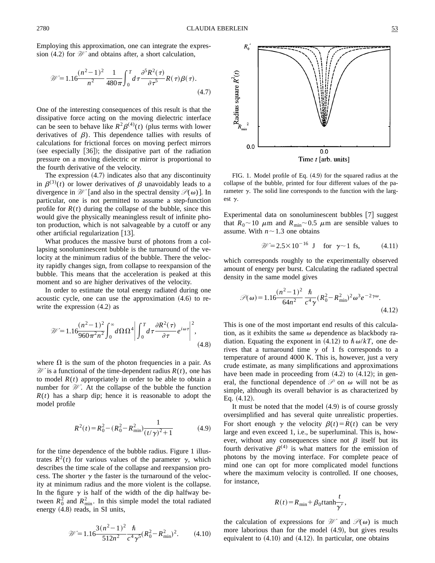Employing this approximation, one can integrate the expression  $(4.2)$  for  $\mathcal W$  and obtains after, a short calculation,

$$
\mathcal{W} = 1.16 \frac{(n^2 - 1)^2}{n^2} \frac{1}{480 \pi} \int_0^T d\tau \frac{\partial^5 R^2(\tau)}{\partial \tau^5} R(\tau) \beta(\tau). \tag{4.7}
$$

One of the interesting consequences of this result is that the dissipative force acting on the moving dielectric interface can be seen to behave like  $R^2\beta^{(4)}(t)$  (plus terms with lower derivatives of  $\beta$ ). This dependence tallies with results of calculations for frictional forces on moving perfect mirrors (see especially  $[36]$ ); the dissipative part of the radiation pressure on a moving dielectric or mirror is proportional to the fourth derivative of the velocity.

The expression  $(4.7)$  indicates also that any discontinuity in  $\beta^{(3)}(t)$  or lower derivatives of  $\beta$  unavoidably leads to a divergence in  $\mathcal W$  [and also in the spectral density  $\mathcal P(\omega)$ ]. In particular, one is not permitted to assume a step-function profile for  $R(t)$  during the collapse of the bubble, since this would give the physically meaningless result of infinite photon production, which is not salvageable by a cutoff or any other artificial regularization  $[13]$ .

What produces the massive burst of photons from a collapsing sonoluminescent bubble is the turnaround of the velocity at the minimum radius of the bubble. There the velocity rapidly changes sign, from collapse to reexpansion of the bubble. This means that the acceleration is peaked at this moment and so are higher derivatives of the velocity.

In order to estimate the total energy radiated during one acoustic cycle, one can use the approximation  $(4.6)$  to rewrite the expression  $(4.2)$  as

$$
\mathcal{W} = 1.16 \frac{(n^2 - 1)^2}{960 \pi^2 n^2} \int_0^\infty d\Omega \Omega^4 \left| \int_0^T d\tau \frac{\partial R^2(\tau)}{\partial \tau} e^{i\omega \tau} \right|^2, \tag{4.8}
$$

where  $\Omega$  is the sum of the photon frequencies in a pair. As  $\mathcal W$  is a functional of the time-dependent radius  $R(t)$ , one has to model  $R(t)$  appropriately in order to be able to obtain a number for *W* . At the collapse of the bubble the function  $R(t)$  has a sharp dip; hence it is reasonable to adopt the model profile

$$
R^{2}(t) = R_{0}^{2} - (R_{0}^{2} - R_{\min}^{2}) \frac{1}{(t/\gamma)^{2} + 1}
$$
 (4.9)

for the time dependence of the bubble radius. Figure 1 illustrates  $R^2(t)$  for various values of the parameter  $\gamma$ , which describes the time scale of the collapse and reexpansion process. The shorter  $\gamma$  the faster is the turnaround of the velocity at minimum radius and the more violent is the collapse. In the figure  $\gamma$  is half of the width of the dip halfway between  $R_0^2$  and  $R_{\text{min}}^2$ . In this simple model the total radiated energy  $(4.8)$  reads, in SI units,

$$
\mathcal{W} = 1.16 \frac{3(n^2 - 1)^2}{512n^2} \frac{\hbar}{c^4 \gamma^5} (R_0^2 - R_{\text{min}}^2)^2.
$$
 (4.10)



FIG. 1. Model profile of Eq.  $(4.9)$  for the squared radius at the collapse of the bubble, printed for four different values of the parameter  $\gamma$ . The solid line corresponds to the function with the largest  $\gamma$ .

Time t [arb. units]

Experimental data on sonoluminescent bubbles [7] suggest that  $R_0 \sim 10 \mu$ m and  $R_{\text{min}} \sim 0.5 \mu$ m are sensible values to assume. With  $n \sim 1.3$  one obtains

$$
\mathcal{W} = 2.5 \times 10^{-16} \text{ J} \quad \text{for } \gamma \sim 1 \text{ fs}, \tag{4.11}
$$

which corresponds roughly to the experimentally observed amount of energy per burst. Calculating the radiated spectral density in the same model gives

$$
\mathcal{P}(\omega) = 1.16 \frac{(n^2 - 1)^2}{64n^2} \frac{\hbar}{c^4 \gamma} (R_0^2 - R_{\text{min}}^2)^2 \omega^3 e^{-2\gamma \omega}.
$$
\n(4.12)

This is one of the most important end results of this calculation, as it exhibits the same  $\omega$  dependence as blackbody radiation. Equating the exponent in  $(4.12)$  to  $\hbar \omega/kT$ , one derives that a turnaround time  $\gamma$  of 1 fs corresponds to a temperature of around 4000 K. This is, however, just a very crude estimate, as many simplifications and approximations have been made in proceeding from  $(4.2)$  to  $(4.12)$ ; in general, the functional dependence of  $\mathcal P$  on  $\omega$  will not be as simple, although its overall behavior is as characterized by Eq.  $(4.12)$ .

It must be noted that the model  $(4.9)$  is of course grossly oversimplified and has several quite unrealistic properties. For short enough  $\gamma$  the velocity  $\beta(t) = R(t)$  can be very large and even exceed 1, i.e., be superluminal. This is, however, without any consequences since not  $\beta$  itself but its fourth derivative  $\beta^{(4)}$  is what matters for the emission of photons by the moving interface. For complete peace of mind one can opt for more complicated model functions where the maximum velocity is controlled. If one chooses, for instance,

$$
R(t) = R_{\min} + \beta_0 t \tanh\frac{t}{\gamma'},
$$

the calculation of expressions for  $\mathcal W$  and  $\mathcal P(\omega)$  is much more laborious than for the model  $(4.9)$ , but gives results equivalent to  $(4.10)$  and  $(4.12)$ . In particular, one obtains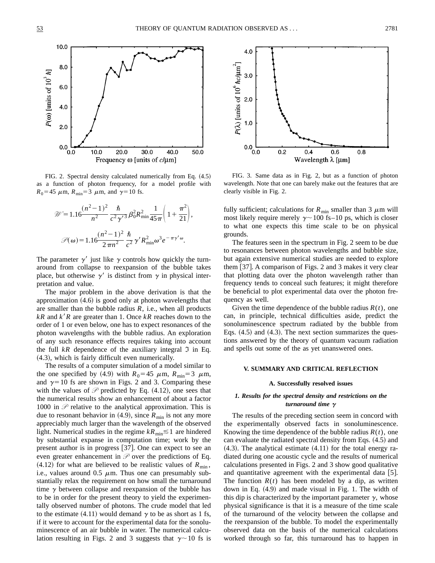

FIG. 2. Spectral density calculated numerically from Eq.  $(4.5)$ as a function of photon frequency, for a model profile with  $R_0$ =45  $\mu$ m,  $R_{\text{min}}$ =3  $\mu$ m, and  $\gamma$ =10 fs.

$$
\mathcal{W} = 1.16 \frac{(n^2 - 1)^2}{n^2} \frac{\hbar}{c^2 \gamma'^3} \beta_0^2 R_{\min}^2 \frac{1}{45\pi} \left( 1 + \frac{\pi^2}{21} \right),
$$

$$
\mathcal{P}(\omega) = 1.16 \frac{(n^2 - 1)^2}{2\pi n^2} \frac{\hbar}{c^2} \gamma' R_{\min}^2 \omega^3 e^{-\pi \gamma' \omega}.
$$

The parameter  $\gamma'$  just like  $\gamma$  controls how quickly the turnaround from collapse to reexpansion of the bubble takes place, but otherwise  $\gamma'$  is distinct from  $\gamma$  in physical interpretation and value.

The major problem in the above derivation is that the approximation  $(4.6)$  is good only at photon wavelengths that are smaller than the bubble radius  $R$ , i.e., when all products  $kR$  and  $k'R$  are greater than 1. Once  $kR$  reaches down to the order of 1 or even below, one has to expect resonances of the photon wavelengths with the bubble radius. An exploration of any such resonance effects requires taking into account the full  $kR$  dependence of the auxiliary integral  $\Im$  in Eq.  $(4.3)$ , which is fairly difficult even numerically.

The results of a computer simulation of a model similar to the one specified by (4.9) with  $R_0$ =45  $\mu$ m,  $R_{\text{min}}$ =3  $\mu$ m, and  $\gamma=10$  fs are shown in Figs. 2 and 3. Comparing these with the values of  $P$  predicted by Eq. (4.12), one sees that the numerical results show an enhancement of about a factor 1000 in  $P$  relative to the analytical approximation. This is due to resonant behavior in  $(4.9)$ , since  $R_{\text{min}}$  is not any more appreciably much larger than the wavelength of the observed light. Numerical studies in the regime  $kR_{\text{min}} \lesssim 1$  are hindered by substantial expanse in computation time; work by the present author is in progress [37]. One can expect to see an even greater enhancement in *P* over the predictions of Eq.  $(4.12)$  for what are believed to be realistic values of  $R_{\text{min}}$ , i.e., values around 0.5  $\mu$ m. Thus one can presumably substantially relax the requirement on how small the turnaround time  $\gamma$  between collapse and reexpansion of the bubble has to be in order for the present theory to yield the experimentally observed number of photons. The crude model that led to the estimate (4.11) would demand  $\gamma$  to be as short as 1 fs, if it were to account for the experimental data for the sonoluminescence of an air bubble in water. The numerical calculation resulting in Figs. 2 and 3 suggests that  $\gamma \sim 10$  fs is



FIG. 3. Same data as in Fig. 2, but as a function of photon wavelength. Note that one can barely make out the features that are clearly visible in Fig. 2.

fully sufficient; calculations for  $R_{\text{min}}$  smaller than 3  $\mu$ m will most likely require merely  $\gamma$  ~ 100 fs–10 ps, which is closer to what one expects this time scale to be on physical grounds.

The features seen in the spectrum in Fig. 2 seem to be due to resonances between photon wavelengths and bubble size, but again extensive numerical studies are needed to explore them  $[37]$ . A comparison of Figs. 2 and 3 makes it very clear that plotting data over the photon wavelength rather than frequency tends to conceal such features; it might therefore be beneficial to plot experimental data over the photon frequency as well.

Given the time dependence of the bubble radius  $R(t)$ , one can, in principle, technical difficulties aside, predict the sonoluminescence spectrum radiated by the bubble from Eqs.  $(4.5)$  and  $(4.3)$ . The next section summarizes the questions answered by the theory of quantum vacuum radiation and spells out some of the as yet unanswered ones.

#### **V. SUMMARY AND CRITICAL REFLECTION**

#### **A. Successfully resolved issues**

#### *1. Results for the spectral density and restrictions on the turnaround time γ*

The results of the preceding section seem in concord with the experimentally observed facts in sonoluminescence. Knowing the time dependence of the bubble radius  $R(t)$ , one can evaluate the radiated spectral density from Eqs.  $(4.5)$  and  $(4.3)$ . The analytical estimate  $(4.11)$  for the total energy radiated during one acoustic cycle and the results of numerical calculations presented in Figs. 2 and 3 show good qualitative and quantitative agreement with the experimental data  $[5]$ . The function  $R(t)$  has been modeled by a dip, as written down in Eq.  $(4.9)$  and made visual in Fig. 1. The width of this dip is characterized by the important parameter  $\gamma$ , whose physical significance is that it is a measure of the time scale of the turnaround of the velocity between the collapse and the reexpansion of the bubble. To model the experimentally observed data on the basis of the numerical calculations worked through so far, this turnaround has to happen in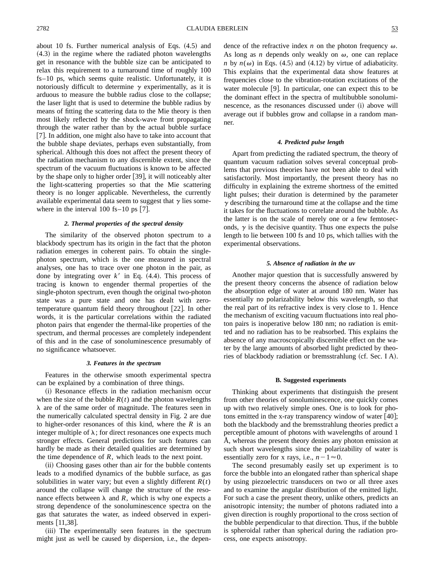about 10 fs. Further numerical analysis of Eqs.  $(4.5)$  and  $(4.3)$  in the regime where the radiated photon wavelengths get in resonance with the bubble size can be anticipated to relax this requirement to a turnaround time of roughly 100 fs–10 ps, which seems quite realistic. Unfortunately, it is notoriously difficult to determine  $\gamma$  experimentally, as it is arduous to measure the bubble radius close to the collapse; the laser light that is used to determine the bubble radius by means of fitting the scattering data to the Mie theory is then most likely reflected by the shock-wave front propagating through the water rather than by the actual bubble surface [7]. In addition, one might also have to take into account that the bubble shape deviates, perhaps even substantially, from spherical. Although this does not affect the present theory of the radiation mechanism to any discernible extent, since the spectrum of the vacuum fluctuations is known to be affected by the shape only to higher order  $[39]$ , it will noticeably alter the light-scattering properties so that the Mie scattering theory is no longer applicable. Nevertheless, the currently available experimental data seem to suggest that  $\gamma$  lies somewhere in the interval  $100$  fs– $10$  ps  $[7]$ .

#### *2. Thermal properties of the spectral density*

The similarity of the observed photon spectrum to a blackbody spectrum has its origin in the fact that the photon radiation emerges in coherent pairs. To obtain the singlephoton spectrum, which is the one measured in spectral analyses, one has to trace over one photon in the pair, as done by integrating over  $k'$  in Eq.  $(4.4)$ . This process of tracing is known to engender thermal properties of the single-photon spectrum, even though the original two-photon state was a pure state and one has dealt with zerotemperature quantum field theory throughout  $[22]$ . In other words, it is the particular correlations within the radiated photon pairs that engender the thermal-like properties of the spectrum, and thermal processes are completely independent of this and in the case of sonoluminescence presumably of no significance whatsoever.

#### *3. Features in the spectrum*

Features in the otherwise smooth experimental spectra can be explained by a combination of three things.

(i) Resonance effects in the radiation mechanism occur when the size of the bubble  $R(t)$  and the photon wavelengths  $\lambda$  are of the same order of magnitude. The features seen in the numerically calculated spectral density in Fig. 2 are due to higher-order resonances of this kind, where the *R* is an integer multiple of  $\lambda$ ; for direct resonances one expects much stronger effects. General predictions for such features can hardly be made as their detailed qualities are determined by the time dependence of  $R$ , which leads to the next point.

(ii) Choosing gases other than air for the bubble contents leads to a modified dynamics of the bubble surface, as gas solubilities in water vary; but even a slightly different  $R(t)$ around the collapse will change the structure of the resonance effects between  $\lambda$  and *R*, which is why one expects a strong dependence of the sonoluminescence spectra on the gas that saturates the water, as indeed observed in experiments [11,38].

(iii) The experimentally seen features in the spectrum might just as well be caused by dispersion, i.e., the dependence of the refractive index  $n$  on the photon frequency  $\omega$ . As long as *n* depends only weakly on  $\omega$ , one can replace *n* by  $n(\omega)$  in Eqs. (4.5) and (4.12) by virtue of adiabaticity. This explains that the experimental data show features at frequencies close to the vibration-rotation excitations of the water molecule  $[9]$ . In particular, one can expect this to be the dominant effect in the spectra of multibubble sonoluminescence, as the resonances discussed under (i) above will average out if bubbles grow and collapse in a random manner.

#### *4. Predicted pulse length*

Apart from predicting the radiated spectrum, the theory of quantum vacuum radiation solves several conceptual problems that previous theories have not been able to deal with satisfactorily. Most importantly, the present theory has no difficulty in explaining the extreme shortness of the emitted light pulses; their duration is determined by the parameter  $\gamma$  describing the turnaround time at the collapse and the time it takes for the fluctuations to correlate around the bubble. As the latter is on the scale of merely one or a few femtoseconds,  $\gamma$  is the decisive quantity. Thus one expects the pulse length to lie between 100 fs and 10 ps, which tallies with the experimental observations.

#### *5. Absence of radiation in the uv*

Another major question that is successfully answered by the present theory concerns the absence of radiation below the absorption edge of water at around 180 nm. Water has essentially no polarizability below this wavelength, so that the real part of its refractive index is very close to 1. Hence the mechanism of exciting vacuum fluctuations into real photon pairs is inoperative below 180 nm; no radiation is emitted and no radiation has to be reabsorbed. This explains the absence of any macroscopically discernible effect on the water by the large amounts of absorbed light predicted by theories of blackbody radiation or bremsstrahlung (cf. Sec. I A).

#### **B. Suggested experiments**

Thinking about experiments that distinguish the present from other theories of sonoluminescence, one quickly comes up with two relatively simple ones. One is to look for photons emitted in the x-ray transparency window of water  $[40]$ ; both the blackbody and the bremsstrahlung theories predict a perceptible amount of photons with wavelengths of around 1 Å, whereas the present theory denies any photon emission at such short wavelengths since the polarizability of water is essentially zero for x rays, i.e.,  $n-1 \approx 0$ .

The second presumably easily set up experiment is to force the bubble into an elongated rather than spherical shape by using piezoelectric transducers on two or all three axes and to examine the angular distribution of the emitted light. For such a case the present theory, unlike others, predicts an anisotropic intensity; the number of photons radiated into a given direction is roughly proportional to the cross section of the bubble perpendicular to that direction. Thus, if the bubble is spheroidal rather than spherical during the radiation process, one expects anisotropy.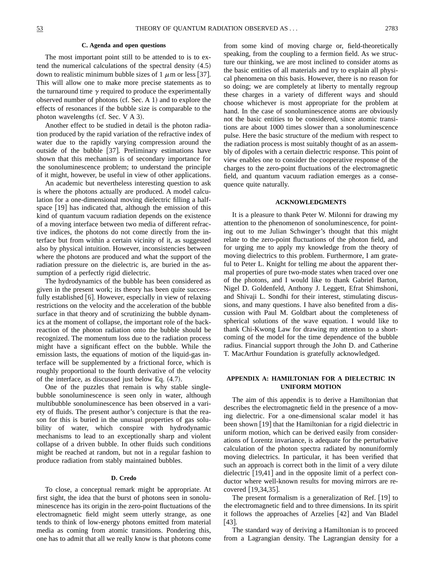#### **C. Agenda and open questions**

The most important point still to be attended to is to extend the numerical calculations of the spectral density  $(4.5)$ down to realistic minimum bubble sizes of 1  $\mu$ m or less [37]. This will allow one to make more precise statements as to the turnaround time  $\gamma$  required to produce the experimentally observed number of photons  $(cf. Sec. A 1)$  and to explore the effects of resonances if the bubble size is comparable to the photon wavelengths (cf. Sec. V  $A$  3).

Another effect to be studied in detail is the photon radiation produced by the rapid variation of the refractive index of water due to the rapidly varying compression around the outside of the bubble [37]. Preliminary estimations have shown that this mechanism is of secondary importance for the sonoluminescence problem; to understand the principle of it might, however, be useful in view of other applications.

An academic but nevertheless interesting question to ask is where the photons actually are produced. A model calculation for a one-dimensional moving dielectric filling a halfspace  $[19]$  has indicated that, although the emission of this kind of quantum vacuum radiation depends on the existence of a moving interface between two media of different refractive indices, the photons do not come directly from the interface but from within a certain vicinity of it, as suggested also by physical intuition. However, inconsistencies between where the photons are produced and what the support of the radiation pressure on the dielectric is, are buried in the assumption of a perfectly rigid dielectric.

The hydrodynamics of the bubble has been considered as given in the present work; its theory has been quite successfully established  $[6]$ . However, especially in view of relaxing restrictions on the velocity and the acceleration of the bubble surface in that theory and of scrutinizing the bubble dynamics at the moment of collapse, the important role of the backreaction of the photon radiation onto the bubble should be recognized. The momentum loss due to the radiation process might have a significant effect on the bubble. While the emission lasts, the equations of motion of the liquid-gas interface will be supplemented by a frictional force, which is roughly proportional to the fourth derivative of the velocity of the interface, as discussed just below Eq.  $(4.7)$ .

One of the puzzles that remain is why stable singlebubble sonoluminescence is seen only in water, although multibubble sonoluminescence has been observed in a variety of fluids. The present author's conjecture is that the reason for this is buried in the unusual properties of gas solubility of water, which conspire with hydrodynamic mechanisms to lead to an exceptionally sharp and violent collapse of a driven bubble. In other fluids such conditions might be reached at random, but not in a regular fashion to produce radiation from stably maintained bubbles.

#### **D. Credo**

To close, a conceptual remark might be appropriate. At first sight, the idea that the burst of photons seen in sonoluminescence has its origin in the zero-point fluctuations of the electromagnetic field might seem utterly strange, as one tends to think of low-energy photons emitted from material media as coming from atomic transitions. Pondering this, one has to admit that all we really know is that photons come from some kind of moving charge or, field-theoretically speaking, from the coupling to a fermion field. As we structure our thinking, we are most inclined to consider atoms as the basic entities of all materials and try to explain all physical phenomena on this basis. However, there is no reason for so doing; we are completely at liberty to mentally regroup these charges in a variety of different ways and should choose whichever is most appropriate for the problem at hand. In the case of sonoluminescence atoms are obviously not the basic entities to be considered, since atomic transitions are about 1000 times slower than a sonoluminescence pulse. Here the basic structure of the medium with respect to the radiation process is most suitably thought of as an assembly of dipoles with a certain dielectric response. This point of view enables one to consider the cooperative response of the charges to the zero-point fluctuations of the electromagnetic field, and quantum vacuum radiation emerges as a consequence quite naturally.

#### **ACKNOWLEDGMENTS**

It is a pleasure to thank Peter W. Milonni for drawing my attention to the phenomenon of sonoluminescence, for pointing out to me Julian Schwinger's thought that this might relate to the zero-point fluctuations of the photon field, and for urging me to apply my knowledge from the theory of moving dielectrics to this problem. Furthermore, I am grateful to Peter L. Knight for telling me about the apparent thermal properties of pure two-mode states when traced over one of the photons, and I would like to thank Gabriel Barton, Nigel D. Goldenfeld, Anthony J. Leggett, Efrat Shimshoni, and Shivaji L. Sondhi for their interest, stimulating discussions, and many questions. I have also benefited from a discussion with Paul M. Goldbart about the completeness of spherical solutions of the wave equation. I would like to thank Chi-Kwong Law for drawing my attention to a shortcoming of the model for the time dependence of the bubble radius. Financial support through the John D. and Catherine T. MacArthur Foundation is gratefully acknowledged.

#### **APPENDIX A: HAMILTONIAN FOR A DIELECTRIC IN UNIFORM MOTION**

The aim of this appendix is to derive a Hamiltonian that describes the electromagnetic field in the presence of a moving dielectric. For a one-dimensional scalar model it has been shown  $[19]$  that the Hamiltonian for a rigid dielectric in uniform motion, which can be derived easily from considerations of Lorentz invariance, is adequate for the perturbative calculation of the photon spectra radiated by nonuniformly moving dielectrics. In particular, it has been verified that such an approach is correct both in the limit of a very dilute dielectric  $[19,41]$  and in the opposite limit of a perfect conductor where well-known results for moving mirrors are recovered  $[19,34,35]$ .

The present formalism is a generalization of Ref.  $[19]$  to the electromagnetic field and to three dimensions. In its spirit it follows the approaches of Arzelies  $[42]$  and Van Bladel  $[43]$ .

The standard way of deriving a Hamiltonian is to proceed from a Lagrangian density. The Lagrangian density for a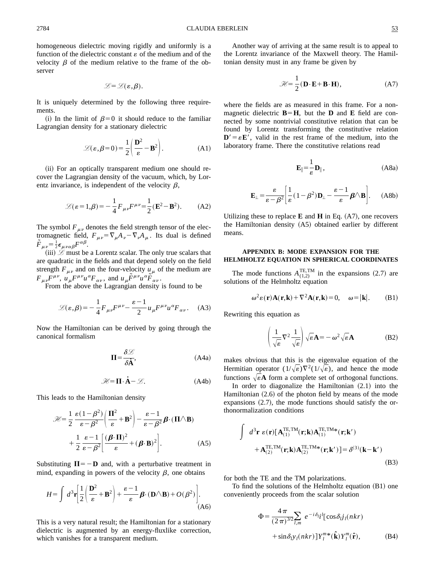homogeneous dielectric moving rigidly and uniformly is a function of the dielectric constant  $\varepsilon$  of the medium and of the velocity  $\beta$  of the medium relative to the frame of the observer

$$
\mathscr{L}=\mathscr{L}(\varepsilon,\beta).
$$

It is uniquely determined by the following three requirements.

(i) In the limit of  $\beta=0$  it should reduce to the familiar Lagrangian density for a stationary dielectric

$$
\mathcal{L}(\varepsilon, \beta = 0) = \frac{1}{2} \left( \frac{\mathbf{D}^2}{\varepsilon} - \mathbf{B}^2 \right).
$$
 (A1)

(ii) For an optically transparent medium one should recover the Lagrangian density of the vacuum, which, by Lorentz invariance, is independent of the velocity  $\beta$ ,

$$
\mathcal{L}(\varepsilon = 1, \beta) = -\frac{1}{4} F_{\mu\nu} F^{\mu\nu} = \frac{1}{2} (\mathbf{E}^2 - \mathbf{B}^2). \tag{A2}
$$

The symbol  $F_{\mu\nu}$  denotes the field strength tensor of the electromagnetic field,  $F_{\mu\nu} = \nabla_{\mu}A_{\nu} - \nabla_{\nu}A_{\mu}$ . Its dual is defined  $\tilde{F}_{\mu\nu} = \frac{1}{2} \epsilon_{\mu\nu\alpha\beta} F^{\alpha\beta}.$ 

 $(iii)$   $\mathcal{L}$  must be a Lorentz scalar. The only true scalars that are quadratic in the fields and that depend solely on the field strength  $F_{\mu\nu}$  and on the four-velocity  $u_{\mu}$  of the medium are  $F_{\mu\nu}\bar{F}^{\mu\nu}$ ,  $\mu_{\mu}F^{\mu\nu}u^{\alpha}F_{\alpha\nu}$ , and  $\mu_{\mu}\tilde{F}^{\mu\nu}u^{\alpha}\tilde{F}_{\alpha\nu}$ .

From the above the Lagrangian density is found to be

$$
\mathcal{L}(\varepsilon,\beta) = -\frac{1}{4}F_{\mu\nu}F^{\mu\nu} - \frac{\varepsilon - 1}{2}u_{\mu}F^{\mu\nu}u^{\alpha}F_{\alpha\nu}.
$$
 (A3)

Now the Hamiltonian can be derived by going through the canonical formalism

$$
\Pi = \frac{\delta \mathcal{L}}{\delta \dot{\mathbf{A}}},\tag{A4a}
$$

$$
\mathcal{H} = \Pi \cdot \dot{A} - \mathcal{L}.
$$
 (A4b)

This leads to the Hamiltonian density

$$
\mathcal{H} = \frac{1}{2} \frac{\varepsilon (1 - \beta^2)}{\varepsilon - \beta^2} \left( \frac{\Pi^2}{\varepsilon} + \mathbf{B}^2 \right) - \frac{\varepsilon - 1}{\varepsilon - \beta^2} \boldsymbol{\beta} \cdot (\Pi \wedge \mathbf{B})
$$

$$
+ \frac{1}{2} \frac{\varepsilon - 1}{\varepsilon - \beta^2} \left[ \frac{(\boldsymbol{\beta} \cdot \Pi)^2}{\varepsilon} + (\boldsymbol{\beta} \cdot \mathbf{B})^2 \right]. \tag{A5}
$$

Substituting  $\Pi = -D$  and, with a perturbative treatment in mind, expanding in powers of the velocity  $\beta$ , one obtains

$$
H = \int d^3 \mathbf{r} \left[ \frac{1}{2} \left( \frac{\mathbf{D}^2}{\varepsilon} + \mathbf{B}^2 \right) + \frac{\varepsilon - 1}{\varepsilon} \boldsymbol{\beta} \cdot (\mathbf{D} \wedge \mathbf{B}) + O(\beta^2) \right].
$$
 (A6)

This is a very natural result; the Hamiltonian for a stationary dielectric is augmented by an energy-fluxlike correction, which vanishes for a transparent medium.

Another way of arriving at the same result is to appeal to the Lorentz invariance of the Maxwell theory. The Hamiltonian density must in any frame be given by

$$
\mathcal{H} = \frac{1}{2} (\mathbf{D} \cdot \mathbf{E} + \mathbf{B} \cdot \mathbf{H}), \tag{A7}
$$

where the fields are as measured in this frame. For a nonmagnetic dielectric  $\mathbf{B} = \mathbf{H}$ , but the **D** and **E** field are connected by some nontrivial constitutive relation that can be found by Lorentz transforming the constitutive relation  $\mathbf{D}' = \varepsilon \mathbf{E}'$ , valid in the rest frame of the medium, into the laboratory frame. There the constitutive relations read

$$
\mathbf{E}_{\parallel} = \frac{1}{\varepsilon} \mathbf{D}_{\parallel},\tag{A8a}
$$

$$
\mathbf{E}_{\perp} = \frac{\varepsilon}{\varepsilon - \beta^2} \left[ \frac{1}{\varepsilon} (1 - \beta^2) \mathbf{D}_{\perp} - \frac{\varepsilon - 1}{\varepsilon} \boldsymbol{\beta} \wedge \mathbf{B} \right]. \tag{A8b}
$$

Utilizing these to replace  $\bf{E}$  and  $\bf{H}$  in Eq.  $(A7)$ , one recovers the Hamiltonian density (A5) obtained earlier by different means.

#### **APPENDIX B: MODE EXPANSION FOR THE HELMHOLTZ EQUATION IN SPHERICAL COORDINATES**

The mode functions  $A_{(1,2)}^{\text{TE,TM}}$  in the expansions (2.7) are solutions of the Helmholtz equation

$$
\omega^2 \varepsilon(\mathbf{r}) \mathbf{A}(\mathbf{r}, \mathbf{k}) + \nabla^2 \mathbf{A}(\mathbf{r}, \mathbf{k}) = 0, \quad \omega = |\mathbf{k}|. \tag{B1}
$$

Rewriting this equation as

$$
\left(\frac{1}{\sqrt{\varepsilon}}\nabla^2 \frac{1}{\sqrt{\varepsilon}}\right)\sqrt{\varepsilon}\mathbf{A} = -\omega^2 \sqrt{\varepsilon}\mathbf{A}
$$
 (B2)

makes obvious that this is the eigenvalue equation of the Hermitian operator  $(1/\sqrt{\varepsilon})\nabla^2(1/\sqrt{\varepsilon})$ , and hence the mode functions  $\sqrt{\varepsilon A}$  form a complete set of orthogonal functions.

In order to diagonalize the Hamiltonian  $(2.1)$  into the Hamiltonian  $(2.6)$  of the photon field by means of the mode expansions  $(2.7)$ , the mode functions should satisfy the orthonormalization conditions

$$
\int d^{3}\mathbf{r} \ \varepsilon(\mathbf{r}) [\mathbf{A}_{(1)}^{\text{TE,TM}}(\mathbf{r};\mathbf{k}) \mathbf{A}_{(1)}^{\text{TE,TM*}}(\mathbf{r};\mathbf{k}^{\prime}) + \mathbf{A}_{(2)}^{\text{TE,TM}}(\mathbf{r};\mathbf{k}) \mathbf{A}_{(2)}^{\text{TE,TM*}}(\mathbf{r};\mathbf{k}^{\prime})] = \delta^{(3)}(\mathbf{k}-\mathbf{k}^{\prime})
$$
\n(B3)

for both the TE and the TM polarizations.

To find the solutions of the Helmholtz equation  $(B1)$  one conveniently proceeds from the scalar solution

$$
\Phi = \frac{4\pi}{(2\pi)^{3/2} l_{,m}} e^{-i\delta_l i^l} [\cos \delta_{l} j_l(nkr) + \sin \delta_{l} y_l(nkr)] Y_l^{m*}(\hat{\mathbf{k}}) Y_l^m(\hat{\mathbf{r}}), \tag{B4}
$$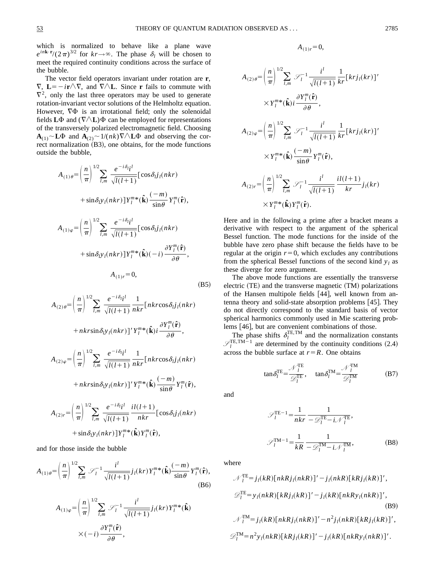which is normalized to behave like a plane wave  $e^{in\mathbf{k}\cdot\mathbf{r}}/(2\pi)^{3/2}$  for  $kr \rightarrow \infty$ . The phase  $\delta_l$  will be chosen to meet the required continuity conditions across the surface of the bubble.

The vector field operators invariant under rotation are **r**,  $\nabla$ , **L**=  $-i\mathbf{r} \wedge \nabla$ , and  $\nabla \wedge \mathbf{L}$ . Since **r** fails to commute with  $\nabla^2$ , only the last three operators may be used to generate rotation-invariant vector solutions of the Helmholtz equation. However,  $\nabla \Phi$  is an irrotational field; only the solenoidal fields  $L\Phi$  and  $(\nabla \wedge L)\Phi$  can be employed for representations of the transversely polarized electromagnetic field. Choosing  $\mathbf{A}_{(1)}$   $\sim$  **L** $\Phi$  and  $\mathbf{A}_{(2)}$   $\sim$  1/(*nk*) $\nabla$   $\wedge$  **L** $\Phi$  and observing the correct normalization  $(B3)$ , one obtains, for the mode functions outside the bubble,

$$
A_{(1)\theta} = \left(\frac{n}{\pi}\right)^{1/2} \sum_{l,m} \frac{e^{-i\delta_{l}l}}{\sqrt{l(l+1)}} \left[\cos \delta_{l}j_{l}(nkr)\right]
$$
  
+ 
$$
\sin \delta_{l}y_{l}(nkr) \left] Y_{l}^{m*}(\hat{\mathbf{k}}) \frac{(-m)}{\sin \theta} Y_{l}^{m}(\hat{\mathbf{r}}),
$$
  

$$
A_{(1)\varphi} = \left(\frac{n}{\pi}\right)^{1/2} \sum_{l,m} \frac{e^{-i\delta_{l}l}}{\sqrt{l(l+1)}} \left[\cos \delta_{l}j_{l}(nkr)\right]
$$
  
+ 
$$
\sin \delta_{l}y_{l}(nkr) \left] Y_{l}^{m*}(\hat{\mathbf{k}})(-i) \frac{\partial Y_{l}^{m}(\hat{\mathbf{r}})}{\partial \theta},
$$
  

$$
A_{(1)r} = 0,
$$
 (B5)

$$
A_{(2)\theta} = \left(\frac{n}{\pi}\right)^{1/2} \sum_{l,m} \frac{e^{-i\delta_{l}l}}{\sqrt{l(l+1)}} \frac{1}{nkr} \left[nkr\cos\delta_{l}j_{l}(nkr)\right]
$$
  
+  $nkrsin\delta_{l}y_{l}(nkr)\left] Y_{l}^{m*}(\hat{\mathbf{k}})i \frac{\partial Y_{l}^{m}(\hat{\mathbf{r}})}{\partial \theta},$   

$$
A_{(2)\varphi} = \left(\frac{n}{\pi}\right)^{1/2} \sum_{l,m} \frac{e^{-i\delta_{l}l}}{\sqrt{l(l+1)}} \frac{1}{nkr} \left[nkr\cos\delta_{l}j_{l}(nkr)\right]
$$
  
+  $nkrsin\delta_{l}y_{l}(nkr)\left] Y_{l}^{m*}(\hat{\mathbf{k}}) \frac{(-m)}{\sin\theta} Y_{l}^{m}(\hat{\mathbf{r}}),$   

$$
A_{(2)r} = \left(\frac{n}{\pi}\right)^{1/2} \sum_{l,m} \frac{e^{-i\delta_{l}l}}{\sqrt{l(l+1)}} \frac{i l(l+1)}{nkr} \left[\cos\delta_{l}j_{l}(nkr)\right]
$$
  
+  $sin\delta_{l}y_{l}(nkr)\left] Y_{l}^{m*}(\hat{\mathbf{k}}) Y_{l}^{m}(\hat{\mathbf{r}}),$ 

and for those inside the bubble

$$
A_{(1)\theta} = \left(\frac{n}{\pi}\right)^{1/2} \sum_{l,m} \mathcal{S}_l^{-1} \frac{i^l}{\sqrt{l(l+1)}} j_l(kr) Y_l^{m*}(\hat{\mathbf{k}}) \frac{(-m)}{\sin\theta} Y_l^m(\hat{\mathbf{r}}),
$$
\n(B6)

$$
A_{(1)\varphi} = \left(\frac{n}{\pi}\right)^{1/2} \sum_{l,m} \mathcal{S}_l^{-1} \frac{i^l}{\sqrt{l(l+1)}} j_l(kr) Y_l^{m*}(\hat{\mathbf{k}})
$$

$$
\times (-i) \frac{\partial Y_l^m(\hat{\mathbf{r}})}{\partial \theta},
$$

$$
A_{(1)r} = 0,
$$

$$
A_{(2)\theta} = \left(\frac{n}{\pi}\right)^{1/2} \sum_{l,m} \mathcal{S}_l^{-1} \frac{i^l}{\sqrt{l(l+1)}} \frac{1}{kr} [krj_l(kr)]'
$$
  

$$
\times Y_l^{m*}(\hat{\mathbf{k}}) i \frac{\partial Y_l^m(\hat{\mathbf{r}})}{\partial \theta},
$$
  

$$
A_{(2)\varphi} = \left(\frac{n}{\pi}\right)^{1/2} \sum_{l,m} \mathcal{S}_l^{-1} \frac{i^l}{\sqrt{l(l+1)}} \frac{1}{kr} [krj_l(kr)]'
$$
  

$$
\times Y_l^{m*}(\hat{\mathbf{k}}) \frac{(-m)}{\sin \theta} Y_l^m(\hat{\mathbf{r}}),
$$
  

$$
A_{(2)r} = \left(\frac{n}{\pi}\right)^{1/2} \sum_{l,m} \mathcal{S}_l^{-1} \frac{i^l}{\sqrt{l(l+1)}} \frac{i l(l+1)}{kr} j_l(kr)
$$
  

$$
\times Y_l^{m*}(\hat{\mathbf{k}}) Y_l^m(\hat{\mathbf{r}}).
$$

Here and in the following a prime after a bracket means a derivative with respect to the argument of the spherical Bessel function. The mode functions for the inside of the bubble have zero phase shift because the fields have to be regular at the origin  $r=0$ , which excludes any contributions from the spherical Bessel functions of the second kind  $y_l$  as these diverge for zero argument.

The above mode functions are essentially the transverse electric  $(TE)$  and the transverse magnetic  $(TM)$  polarizations of the Hansen multipole fields  $[44]$ , well known from antenna theory and solid-state absorption problems  $[45]$ . They do not directly correspond to the standard basis of vector spherical harmonics commonly used in Mie scattering problems [46], but are convenient combinations of those.

The phase shifts  $\delta_l^{\text{TE,TM}}$  and the normalization constants  $\mathscr{S}_l^{\text{TE}, \text{T}M-1}$  are determined by the continuity conditions (2.4) across the bubble surface at  $r = R$ . One obtains

$$
\tan \delta_l^{\text{TE}} = \frac{\mathcal{N}_l^{\text{TE}}}{\mathcal{D}_l^{\text{TE}}}, \quad \tan \delta_l^{\text{TM}} = \frac{\mathcal{N}_l^{\text{TM}}}{\mathcal{D}_l^{\text{TM}}} \tag{B7}
$$

and

$$
\mathcal{S}_l^{\text{TE}-1} = \frac{1}{nkr} \frac{1}{-\mathcal{D}_l^{\text{TE}} - i \mathcal{N}_l^{\text{TE}}},
$$

$$
\mathcal{S}_l^{\text{TM}-1} = \frac{1}{kR} \frac{1}{-\mathcal{D}_l^{\text{TM}} - i \mathcal{N}_l^{\text{TM}}},
$$
(B8)

where

$$
\mathcal{N}_l^{\text{TE}} = j_l(kR)[nkRj_l(nkR)]' - j_l(nkR)[kRj_l(kR)]',
$$
  
\n
$$
\mathcal{D}_l^{\text{TE}} = y_l(nkR)[kRj_l(kR)]' - j_l(kR)[nkRy_l(nkR)]',
$$
  
\n
$$
\mathcal{N}_l^{\text{TM}} = j_l(kR)[nkRj_l(nkR)]' - n^2j_l(nkR)[kRj_l(kR)]',
$$
  
\n
$$
\mathcal{D}_l^{\text{TM}} = n^2y_l(nkR)[kRj_l(kR)]' - j_l(kR)[nkRy_l(nkR)]'.
$$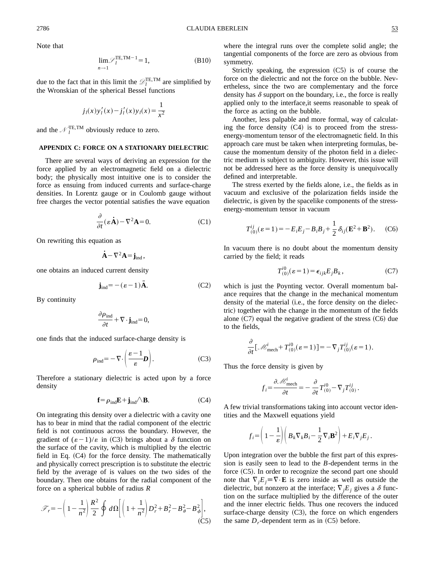Note that

$$
\lim_{n \to 1} \mathcal{F}_l^{\text{TE,TM}-1} = 1,
$$
\n(B10)

due to the fact that in this limit the  $\mathcal{D}_l^{\text{TE, TM}}$  are simplified by the Wronskian of the spherical Bessel functions

$$
j_l(x)y'_l(x) - j'_l(x)y_l(x) = \frac{1}{x^2}
$$

and the  $\mathcal{N}_l^{\text{TE, TM}}$  obviously reduce to zero.

#### **APPENDIX C: FORCE ON A STATIONARY DIELECTRIC**

There are several ways of deriving an expression for the force applied by an electromagnetic field on a dielectric body; the physically most intuitive one is to consider the force as ensuing from induced currents and surface-charge densities. In Lorentz gauge or in Coulomb gauge without free charges the vector potential satisfies the wave equation

$$
\frac{\partial}{\partial t}(\varepsilon \dot{\mathbf{A}}) - \nabla^2 \mathbf{A} = 0.
$$
 (C1)

On rewriting this equation as

$$
\dot{\mathbf{A}}-\nabla^2\mathbf{A}\!=\!\mathbf{j}_{ind}\,,
$$

one obtains an induced current density

$$
\mathbf{j}_{\text{ind}} = -(\varepsilon - 1)\ddot{\mathbf{A}}.\tag{C2}
$$

By continuity

$$
\frac{\partial \rho_{\text{ind}}}{\partial t} + \nabla \cdot \mathbf{j}_{\text{ind}} = 0,
$$

one finds that the induced surface-charge density is

$$
\rho_{\rm ind} = -\nabla \cdot \left(\frac{\varepsilon - 1}{\varepsilon} \mathbf{D}\right). \tag{C3}
$$

Therefore a stationary dielectric is acted upon by a force density

$$
\mathbf{f} = \rho_{\text{ind}} \mathbf{E} + \mathbf{j}_{\text{ind}} / \Delta \mathbf{B}.
$$
 (C4)

On integrating this density over a dielectric with a cavity one has to bear in mind that the radial component of the electric field is not continuous across the boundary. However, the gradient of  $(\varepsilon - 1)/\varepsilon$  in (C3) brings about a  $\delta$  function on the surface of the cavity, which is multiplied by the electric field in Eq.  $(C4)$  for the force density. The mathematically and physically correct prescription is to substitute the electric field by the average of is values on the two sides of the boundary. Then one obtains for the radial component of the force on a spherical bubble of radius *R*

$$
\mathcal{F}_r = -\left(1 - \frac{1}{n^2}\right)\frac{R^2}{2}\oint d\Omega \bigg[\bigg(1 + \frac{1}{n^2}\bigg)D_r^2 + B_r^2 - B_\theta^2 - B_\phi^2\bigg],\tag{C5}
$$

where the integral runs over the complete solid angle; the tangential components of the force are zero as obvious from symmetry.

Strictly speaking, the expression  $(C5)$  is of course the force on the dielectric and not the force on the bubble. Nevertheless, since the two are complementary and the force density has  $\delta$  support on the boundary, i.e., the force is really applied only to the interface,it seems reasonable to speak of the force as acting on the bubble.

Another, less palpable and more formal, way of calculating the force density  $(C4)$  is to proceed from the stressenergy-momentum tensor of the electromagnetic field. In this approach care must be taken when interpreting formulas, because the momentum density of the photon field in a dielectric medium is subject to ambiguity. However, this issue will not be addressed here as the force density is unequivocally defined and interpretable.

The stress exerted by the fields alone, i.e., the fields as in vacuum and exclusive of the polarization fields inside the dielectric, is given by the spacelike components of the stressenergy-momentum tensor in vacuum

$$
T_{(0)}^{ij}(\varepsilon=1) = -E_i E_j - B_i B_j + \frac{1}{2} \delta_{ij} (\mathbf{E}^2 + \mathbf{B}^2).
$$
 (C6)

In vacuum there is no doubt about the momentum density carried by the field; it reads

$$
T^{i0}_{(0)}(\varepsilon = 1) = \epsilon_{ijk} E_j B_k, \qquad (C7)
$$

which is just the Poynting vector. Overall momentum balance requires that the change in the mechanical momentum density of the material  $(i.e., the force density on the dielec$ tric) together with the change in the momentum of the fields alone  $(C7)$  equal the negative gradient of the stress  $(C6)$  due to the fields,

$$
\frac{\partial}{\partial t} \left[ \mathcal{M}_{\text{mech}}^{i} + T_{(0)}^{i0} (\varepsilon = 1) \right] = -\nabla_{j} T_{(0)}^{ij} (\varepsilon = 1).
$$

Thus the force density is given by

$$
f_i = \frac{\partial \mathcal{M}_{\text{mech}}^i}{\partial t} = -\frac{\partial}{\partial t} T_{(0)}^{i0} - \nabla_j T_{(0)}^{ij}.
$$

A few trivial transformations taking into account vector identities and the Maxwell equations yield

$$
f_i = \left(1 - \frac{1}{\varepsilon}\right) \left(B_k \nabla_k B_i - \frac{1}{2} \nabla_i \mathbf{B}^2\right) + E_i \nabla_j E_j.
$$

Upon integration over the bubble the first part of this expression is easily seen to lead to the *B*-dependent terms in the force  $(C5)$ . In order to recognize the second part one should note that  $\nabla_j E_j = \nabla \cdot \mathbf{E}$  is zero inside as well as outside the dielectric, but nonzero at the interface;  $\nabla_j E_j$  gives a  $\delta$  function on the surface multiplied by the difference of the outer and the inner electric fields. Thus one recovers the induced surface-charge density  $(C3)$ , the force on which engenders the same  $D_r$ -dependent term as in  $(C5)$  before.